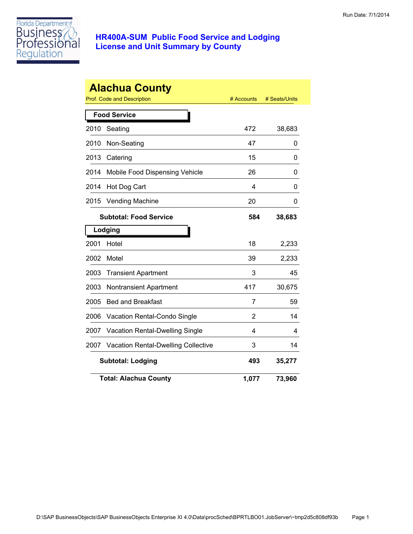

|      | <b>Alachua County</b>                      |            |               |
|------|--------------------------------------------|------------|---------------|
|      | Prof. Code and Description                 | # Accounts | # Seats/Units |
|      | <b>Food Service</b>                        |            |               |
| 2010 | Seating                                    | 472        | 38,683        |
| 2010 | Non-Seating                                | 47         | 0             |
| 2013 | Catering                                   | 15         | 0             |
| 2014 | Mobile Food Dispensing Vehicle             | 26         | 0             |
| 2014 | Hot Dog Cart                               | 4          | 0             |
| 2015 | <b>Vending Machine</b>                     | 20         | 0             |
|      | <b>Subtotal: Food Service</b>              | 584        | 38,683        |
|      | Lodging                                    |            |               |
| 2001 | Hotel                                      | 18         | 2,233         |
| 2002 | Motel                                      | 39         | 2,233         |
| 2003 | <b>Transient Apartment</b>                 | 3          | 45            |
| 2003 | <b>Nontransient Apartment</b>              | 417        | 30,675        |
| 2005 | <b>Bed and Breakfast</b>                   | 7          | 59            |
| 2006 | Vacation Rental-Condo Single               | 2          | 14            |
| 2007 | Vacation Rental-Dwelling Single            | 4          | 4             |
| 2007 | <b>Vacation Rental-Dwelling Collective</b> | 3          | 14            |
|      | <b>Subtotal: Lodging</b>                   | 493        | 35,277        |
|      | <b>Total: Alachua County</b>               | 1,077      | 73,960        |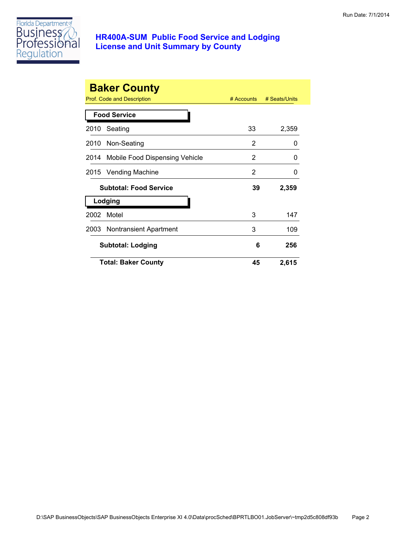

|      | <b>Baker County</b><br>Prof. Code and Description | $#$ Accounts | # Seats/Units |
|------|---------------------------------------------------|--------------|---------------|
|      | <b>Food Service</b>                               |              |               |
| 2010 | Seating                                           | 33           | 2,359         |
|      | 2010 Non-Seating                                  | 2            | 0             |
|      | 2014 Mobile Food Dispensing Vehicle               | 2            | 0             |
| 2015 | Vending Machine                                   | 2            | 0             |
|      | <b>Subtotal: Food Service</b>                     | 39           | 2,359         |
|      | Lodging                                           |              |               |
| 2002 | Motel                                             | 3            | 147           |
|      | 2003 Nontransient Apartment                       | 3            | 109           |
|      | <b>Subtotal: Lodging</b>                          | 6            | 256           |
|      | <b>Total: Baker County</b>                        | 45           | 2,615         |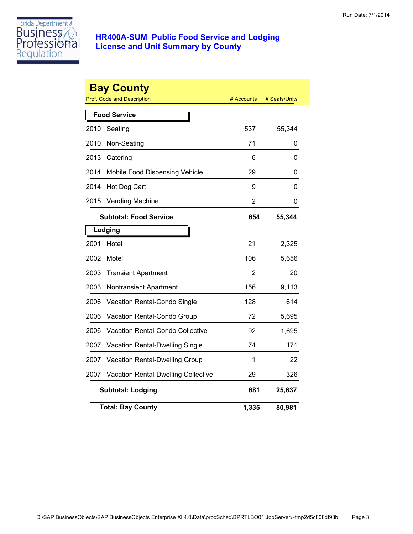

|      | <b>Bay County</b><br><b>Prof. Code and Description</b> | # Accounts | # Seats/Units |
|------|--------------------------------------------------------|------------|---------------|
|      | <b>Food Service</b>                                    |            |               |
| 2010 | Seating                                                | 537        | 55,344        |
| 2010 | Non-Seating                                            | 71         | 0             |
| 2013 | Catering                                               | 6          | 0             |
| 2014 | Mobile Food Dispensing Vehicle                         | 29         | 0             |
| 2014 | Hot Dog Cart                                           | 9          | 0             |
| 2015 | <b>Vending Machine</b>                                 | 2          | 0             |
|      | <b>Subtotal: Food Service</b>                          | 654        | 55,344        |
|      | Lodging                                                |            |               |
| 2001 | Hotel                                                  | 21         | 2,325         |
| 2002 | Motel                                                  | 106        | 5,656         |
| 2003 | <b>Transient Apartment</b>                             | 2          | 20            |
| 2003 | Nontransient Apartment                                 | 156        | 9,113         |
| 2006 | Vacation Rental-Condo Single                           | 128        | 614           |
| 2006 | Vacation Rental-Condo Group                            | 72         | 5,695         |
| 2006 | <b>Vacation Rental-Condo Collective</b>                | 92         | 1,695         |
| 2007 | Vacation Rental-Dwelling Single                        | 74         | 171           |
| 2007 | Vacation Rental-Dwelling Group                         | 1          | 22            |
| 2007 | <b>Vacation Rental-Dwelling Collective</b>             | 29         | 326           |
|      | <b>Subtotal: Lodging</b>                               | 681        | 25,637        |
|      | <b>Total: Bay County</b>                               | 1,335      | 80,981        |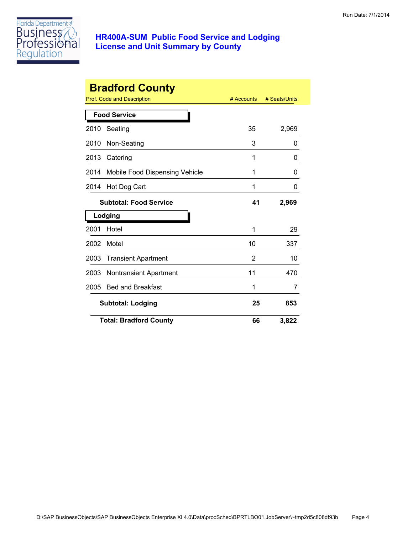

|      | <b>Bradford County</b>                |              |               |
|------|---------------------------------------|--------------|---------------|
|      | Prof. Code and Description            | $#$ Accounts | # Seats/Units |
|      | <b>Food Service</b>                   |              |               |
| 2010 | Seating                               | 35           | 2,969         |
| 2010 | Non-Seating                           | 3            | 0             |
| 2013 | Catering                              | 1            | 0             |
| 2014 | <b>Mobile Food Dispensing Vehicle</b> | 1            | 0             |
| 2014 | Hot Dog Cart                          | 1            | 0             |
|      | <b>Subtotal: Food Service</b>         | 41           | 2,969         |
|      | Lodging                               |              |               |
| 2001 | Hotel                                 | 1            | 29            |
| 2002 | Motel                                 | 10           | 337           |
| 2003 | <b>Transient Apartment</b>            | 2            | 10            |
| 2003 | <b>Nontransient Apartment</b>         | 11           | 470           |
| 2005 | <b>Bed and Breakfast</b>              | 1            | 7             |
|      | <b>Subtotal: Lodging</b>              | 25           | 853           |
|      | <b>Total: Bradford County</b>         | 66           | 3,822         |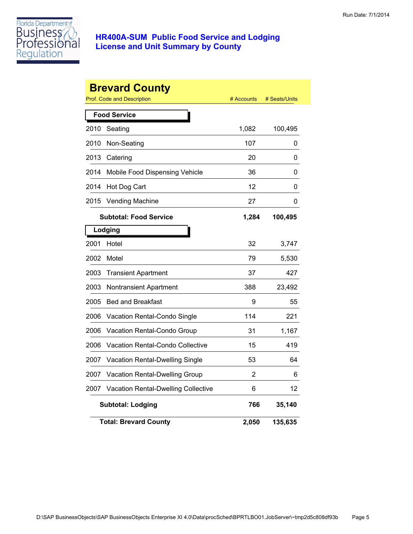

|      | <b>Brevard County</b><br><b>Prof. Code and Description</b> | # Accounts | # Seats/Units |
|------|------------------------------------------------------------|------------|---------------|
|      | <b>Food Service</b>                                        |            |               |
| 2010 | Seating                                                    | 1,082      | 100,495       |
| 2010 | Non-Seating                                                | 107        | 0             |
| 2013 | Catering                                                   | 20         | 0             |
| 2014 | Mobile Food Dispensing Vehicle                             | 36         | 0             |
| 2014 | Hot Dog Cart                                               | 12         | 0             |
| 2015 | <b>Vending Machine</b>                                     | 27         | 0             |
|      | <b>Subtotal: Food Service</b>                              | 1,284      | 100,495       |
|      | Lodging                                                    |            |               |
| 2001 | Hotel                                                      | 32         | 3,747         |
| 2002 | Motel                                                      | 79         | 5,530         |
| 2003 | <b>Transient Apartment</b>                                 | 37         | 427           |
| 2003 | Nontransient Apartment                                     | 388        | 23,492        |
| 2005 | <b>Bed and Breakfast</b>                                   | 9          | 55            |
| 2006 | Vacation Rental-Condo Single                               | 114        | 221           |
| 2006 | Vacation Rental-Condo Group                                | 31         | 1,167         |
| 2006 | <b>Vacation Rental-Condo Collective</b>                    | 15         | 419           |
| 2007 | <b>Vacation Rental-Dwelling Single</b>                     | 53         | 64            |
| 2007 | Vacation Rental-Dwelling Group                             | 2          | 6             |
| 2007 | <b>Vacation Rental-Dwelling Collective</b>                 | 6          | 12            |
|      | <b>Subtotal: Lodging</b>                                   | 766        | 35,140        |
|      | <b>Total: Brevard County</b>                               | 2,050      | 135,635       |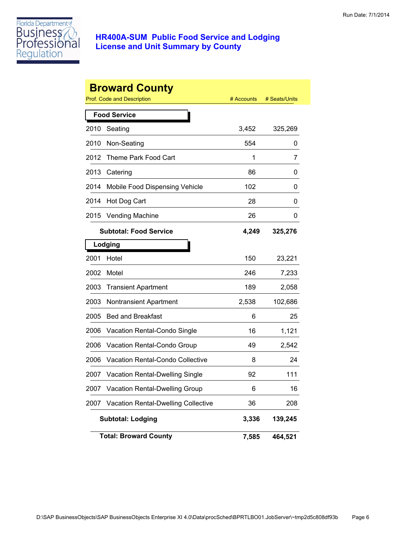

|      | <b>Broward County</b>                   |            |               |
|------|-----------------------------------------|------------|---------------|
|      | Prof. Code and Description              | # Accounts | # Seats/Units |
|      | <b>Food Service</b>                     |            |               |
| 2010 | Seating                                 | 3,452      | 325,269       |
| 2010 | Non-Seating                             | 554        | 0             |
| 2012 | Theme Park Food Cart                    | 1          | 7             |
| 2013 | Catering                                | 86         | 0             |
| 2014 | Mobile Food Dispensing Vehicle          | 102        | 0             |
| 2014 | Hot Dog Cart                            | 28         | 0             |
| 2015 | <b>Vending Machine</b>                  | 26         | 0             |
|      | <b>Subtotal: Food Service</b>           | 4,249      | 325,276       |
|      | Lodging                                 |            |               |
| 2001 | Hotel                                   | 150        | 23,221        |
| 2002 | Motel                                   | 246        | 7,233         |
| 2003 | <b>Transient Apartment</b>              | 189        | 2,058         |
| 2003 | <b>Nontransient Apartment</b>           | 2,538      | 102,686       |
| 2005 | <b>Bed and Breakfast</b>                | 6          | 25            |
| 2006 | Vacation Rental-Condo Single            | 16         | 1,121         |
| 2006 | Vacation Rental-Condo Group             | 49         | 2,542         |
| 2006 | <b>Vacation Rental-Condo Collective</b> | 8          | 24            |
| 2007 | <b>Vacation Rental-Dwelling Single</b>  | 92         | 111           |
| 2007 | Vacation Rental-Dwelling Group          | 6          | 16            |
| 2007 | Vacation Rental-Dwelling Collective     | 36         | 208           |
|      | <b>Subtotal: Lodging</b>                | 3,336      | 139,245       |
|      | <b>Total: Broward County</b>            | 7,585      | 464,521       |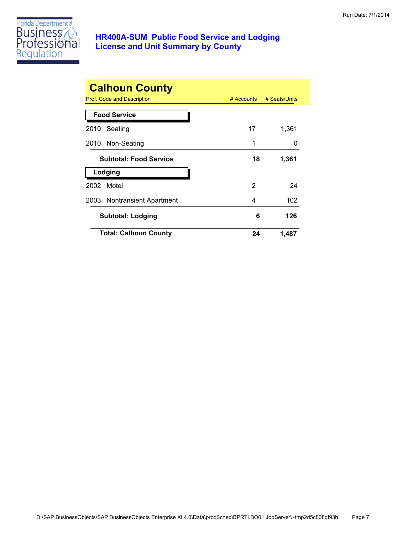

| <b>Calhoun County</b><br>Prof. Code and Description | # Accounts | # Seats/Units |
|-----------------------------------------------------|------------|---------------|
| <b>Food Service</b>                                 |            |               |
| Seating<br>2010                                     | 17         | 1,361         |
| 2010 Non-Seating                                    | 1          | $\mathbf{I}$  |
| <b>Subtotal: Food Service</b>                       | 18         | 1,361         |
| Lodging                                             |            |               |
| Motel<br>2002                                       | 2          | 24            |
| 2003 Nontransient Apartment                         | 4          | 102           |
| <b>Subtotal: Lodging</b>                            | 6          | 126           |
| <b>Total: Calhoun County</b>                        | 24         | 1,487         |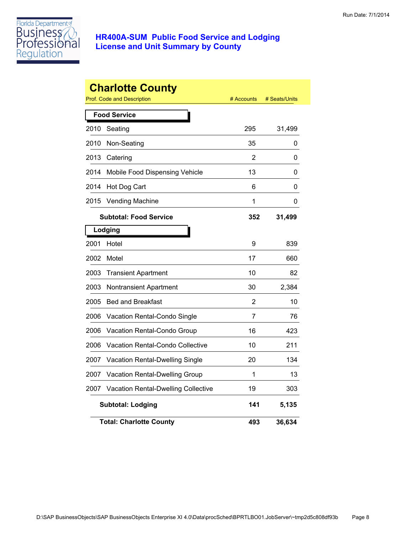

|      | <b>Charlotte County</b><br>Prof. Code and Description | # Accounts | # Seats/Units |
|------|-------------------------------------------------------|------------|---------------|
|      |                                                       |            |               |
|      | <b>Food Service</b>                                   |            |               |
| 2010 | Seating                                               | 295        | 31,499        |
| 2010 | Non-Seating                                           | 35         | 0             |
| 2013 | Catering                                              | 2          | 0             |
| 2014 | Mobile Food Dispensing Vehicle                        | 13         | 0             |
| 2014 | Hot Dog Cart                                          | 6          | 0             |
| 2015 | <b>Vending Machine</b>                                | 1          | 0             |
|      | <b>Subtotal: Food Service</b>                         | 352        | 31,499        |
|      | Lodging                                               |            |               |
| 2001 | Hotel                                                 | 9          | 839           |
| 2002 | Motel                                                 | 17         | 660           |
| 2003 | <b>Transient Apartment</b>                            | 10         | 82            |
| 2003 | Nontransient Apartment                                | 30         | 2,384         |
| 2005 | <b>Bed and Breakfast</b>                              | 2          | 10            |
| 2006 | Vacation Rental-Condo Single                          | 7          | 76            |
| 2006 | Vacation Rental-Condo Group                           | 16         | 423           |
| 2006 | Vacation Rental-Condo Collective                      | 10         | 211           |
| 2007 | Vacation Rental-Dwelling Single                       | 20         | 134           |
| 2007 | Vacation Rental-Dwelling Group                        | 1          | 13            |
| 2007 | Vacation Rental-Dwelling Collective                   | 19         | 303           |
|      | <b>Subtotal: Lodging</b>                              | 141        | 5,135         |
|      | <b>Total: Charlotte County</b>                        | 493        | 36,634        |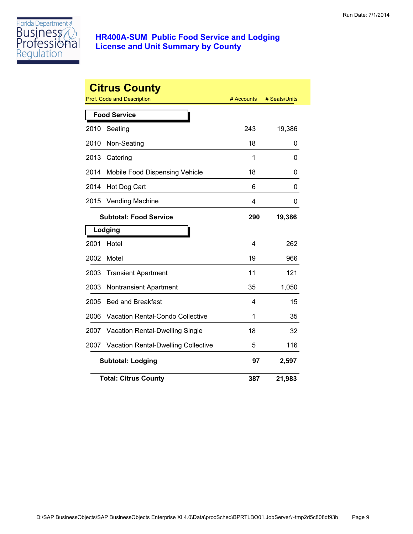

|      | <b>Citrus County</b><br><b>Prof. Code and Description</b> | # Accounts | # Seats/Units |
|------|-----------------------------------------------------------|------------|---------------|
|      | <b>Food Service</b>                                       |            |               |
| 2010 | Seating                                                   | 243        | 19,386        |
| 2010 | Non-Seating                                               | 18         | 0             |
| 2013 | Catering                                                  | 1          | 0             |
| 2014 | Mobile Food Dispensing Vehicle                            | 18         | 0             |
| 2014 | Hot Dog Cart                                              | 6          | 0             |
| 2015 | <b>Vending Machine</b>                                    | 4          | 0             |
|      | <b>Subtotal: Food Service</b>                             | 290        | 19,386        |
|      | Lodging                                                   |            |               |
| 2001 | Hotel                                                     | 4          | 262           |
| 2002 | Motel                                                     | 19         | 966           |
| 2003 | <b>Transient Apartment</b>                                | 11         | 121           |
| 2003 | <b>Nontransient Apartment</b>                             | 35         | 1,050         |
| 2005 | <b>Bed and Breakfast</b>                                  | 4          | 15            |
| 2006 | <b>Vacation Rental-Condo Collective</b>                   | 1          | 35            |
| 2007 | Vacation Rental-Dwelling Single                           | 18         | 32            |
| 2007 | Vacation Rental-Dwelling Collective                       | 5          | 116           |
|      | <b>Subtotal: Lodging</b>                                  | 97         | 2,597         |
|      | <b>Total: Citrus County</b>                               | 387        | 21,983        |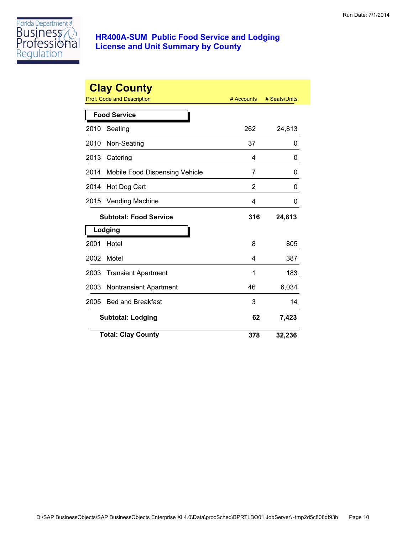

| <b>Clay County</b><br>Prof. Code and Description<br># Accounts<br># Seats/Units |                                |     |        |  |
|---------------------------------------------------------------------------------|--------------------------------|-----|--------|--|
|                                                                                 | <b>Food Service</b>            |     |        |  |
| 2010                                                                            | Seating                        | 262 | 24,813 |  |
| 2010                                                                            | Non-Seating                    | 37  | 0      |  |
| 2013                                                                            | Catering                       | 4   | 0      |  |
| 2014                                                                            | Mobile Food Dispensing Vehicle | 7   | 0      |  |
| 2014                                                                            | Hot Dog Cart                   | 2   | 0      |  |
| 2015                                                                            | Vending Machine                | 4   | 0      |  |
|                                                                                 | <b>Subtotal: Food Service</b>  | 316 | 24,813 |  |
|                                                                                 | Lodging                        |     |        |  |
| 2001                                                                            | Hotel                          | 8   | 805    |  |
| 2002                                                                            | Motel                          | 4   | 387    |  |
| 2003                                                                            | <b>Transient Apartment</b>     | 1   | 183    |  |
| 2003                                                                            | Nontransient Apartment         | 46  | 6,034  |  |
| 2005                                                                            | <b>Bed and Breakfast</b>       | 3   | 14     |  |
|                                                                                 | <b>Subtotal: Lodging</b>       | 62  | 7,423  |  |
|                                                                                 | <b>Total: Clay County</b>      | 378 | 32,236 |  |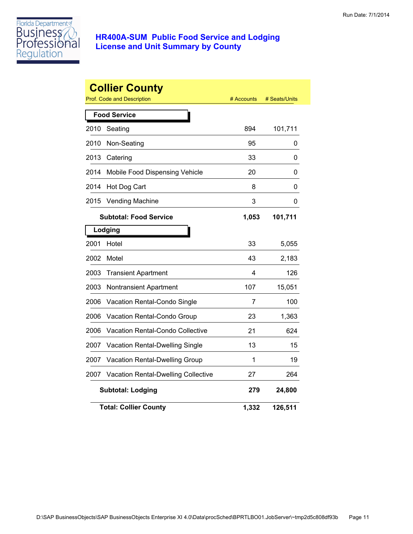

|      | <b>Collier County</b><br><b>Prof. Code and Description</b> | # Accounts | # Seats/Units |
|------|------------------------------------------------------------|------------|---------------|
|      | <b>Food Service</b>                                        |            |               |
| 2010 | Seating                                                    | 894        | 101,711       |
| 2010 | Non-Seating                                                | 95         | 0             |
| 2013 | Catering                                                   | 33         | 0             |
| 2014 | Mobile Food Dispensing Vehicle                             | 20         | 0             |
| 2014 | Hot Dog Cart                                               | 8          | 0             |
| 2015 | <b>Vending Machine</b>                                     | 3          | 0             |
|      | <b>Subtotal: Food Service</b>                              | 1,053      | 101,711       |
|      | Lodging                                                    |            |               |
| 2001 | Hotel                                                      | 33         | 5,055         |
| 2002 | Motel                                                      | 43         | 2,183         |
| 2003 | <b>Transient Apartment</b>                                 | 4          | 126           |
| 2003 | <b>Nontransient Apartment</b>                              | 107        | 15,051        |
| 2006 | Vacation Rental-Condo Single                               | 7          | 100           |
| 2006 | Vacation Rental-Condo Group                                | 23         | 1,363         |
| 2006 | <b>Vacation Rental-Condo Collective</b>                    | 21         | 624           |
| 2007 | Vacation Rental-Dwelling Single                            | 13         | 15            |
| 2007 | Vacation Rental-Dwelling Group                             | 1          | 19            |
| 2007 | <b>Vacation Rental-Dwelling Collective</b>                 | 27         | 264           |
|      | <b>Subtotal: Lodging</b>                                   | 279        | 24,800        |
|      | <b>Total: Collier County</b>                               | 1,332      | 126,511       |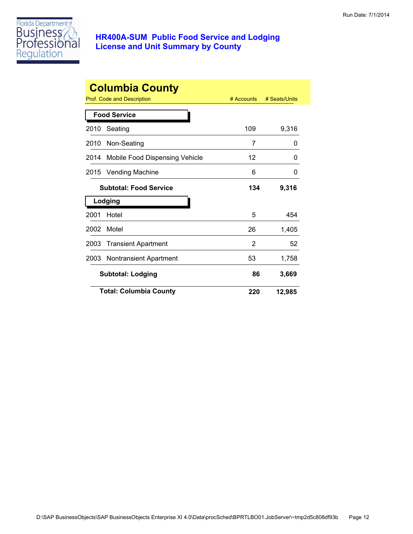

|      | <b>Columbia County</b>            |              |               |
|------|-----------------------------------|--------------|---------------|
|      | <b>Prof. Code and Description</b> | $#$ Accounts | # Seats/Units |
|      | <b>Food Service</b>               |              |               |
| 2010 | Seating                           | 109          | 9,316         |
| 2010 | Non-Seating                       | 7            | 0             |
| 2014 | Mobile Food Dispensing Vehicle    | 12           | O             |
| 2015 | <b>Vending Machine</b>            | 6            | 0             |
|      | <b>Subtotal: Food Service</b>     | 134          | 9,316         |
|      | Lodging                           |              |               |
| 2001 | Hotel                             | 5            | 454           |
| 2002 | Motel                             | 26           | 1,405         |
| 2003 | <b>Transient Apartment</b>        | 2            | 52            |
| 2003 | <b>Nontransient Apartment</b>     | 53           | 1,758         |
|      | <b>Subtotal: Lodging</b>          | 86           | 3,669         |
|      | <b>Total: Columbia County</b>     | 220          | 12,985        |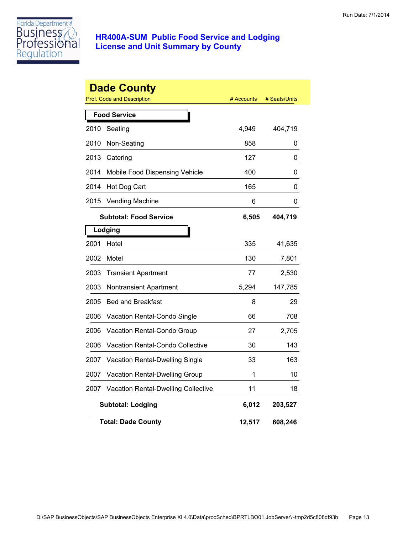

|      | <b>Dade County</b><br><b>Prof. Code and Description</b> | # Accounts | # Seats/Units |
|------|---------------------------------------------------------|------------|---------------|
|      | <b>Food Service</b>                                     |            |               |
| 2010 | Seating                                                 | 4,949      | 404,719       |
| 2010 | Non-Seating                                             | 858        | 0             |
| 2013 | Catering                                                | 127        | 0             |
| 2014 | Mobile Food Dispensing Vehicle                          | 400        | 0             |
| 2014 | Hot Dog Cart                                            | 165        | 0             |
| 2015 | <b>Vending Machine</b>                                  | 6          | 0             |
|      | <b>Subtotal: Food Service</b>                           | 6,505      | 404,719       |
|      | Lodging                                                 |            |               |
| 2001 | Hotel                                                   | 335        | 41,635        |
| 2002 | Motel                                                   | 130        | 7,801         |
| 2003 | <b>Transient Apartment</b>                              | 77         | 2,530         |
| 2003 | Nontransient Apartment                                  | 5,294      | 147,785       |
| 2005 | <b>Bed and Breakfast</b>                                | 8          | 29            |
| 2006 | Vacation Rental-Condo Single                            | 66         | 708           |
| 2006 | Vacation Rental-Condo Group                             | 27         | 2,705         |
| 2006 | Vacation Rental-Condo Collective                        | 30         | 143           |
| 2007 | Vacation Rental-Dwelling Single                         | 33         | 163           |
| 2007 | Vacation Rental-Dwelling Group                          | 1          | 10            |
| 2007 | <b>Vacation Rental-Dwelling Collective</b>              | 11         | 18            |
|      | <b>Subtotal: Lodging</b>                                | 6,012      | 203,527       |
|      | <b>Total: Dade County</b>                               | 12,517     | 608,246       |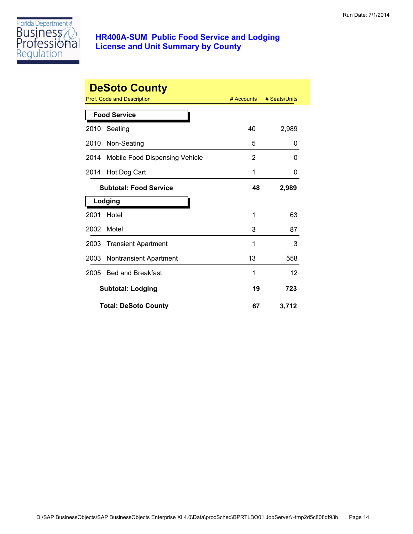

|      | <b>DeSoto County</b>           | # Accounts | # Seats/Units |
|------|--------------------------------|------------|---------------|
|      | Prof. Code and Description     |            |               |
|      | <b>Food Service</b>            |            |               |
| 2010 | Seating                        | 40         | 2,989         |
| 2010 | Non-Seating                    | 5          | 0             |
| 2014 | Mobile Food Dispensing Vehicle | 2          | 0             |
| 2014 | Hot Dog Cart                   | 1          | 0             |
|      | <b>Subtotal: Food Service</b>  | 48         | 2,989         |
|      | Lodging                        |            |               |
| 2001 | Hotel                          | 1          | 63            |
| 2002 | Motel                          | 3          | 87            |
| 2003 | <b>Transient Apartment</b>     | 1          | 3             |
| 2003 | <b>Nontransient Apartment</b>  | 13         | 558           |
| 2005 | <b>Bed and Breakfast</b>       | 1          | 12            |
|      | <b>Subtotal: Lodging</b>       | 19         | 723           |
|      | <b>Total: DeSoto County</b>    | 67         | 3,712         |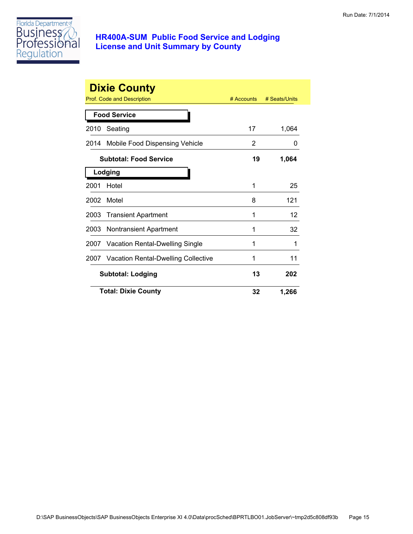

|      | <b>Dixie County</b>                        |            |               |
|------|--------------------------------------------|------------|---------------|
|      | Prof. Code and Description                 | # Accounts | # Seats/Units |
|      | <b>Food Service</b>                        |            |               |
| 2010 | Seating                                    | 17         | 1,064         |
| 2014 | Mobile Food Dispensing Vehicle             | 2          | 0             |
|      | <b>Subtotal: Food Service</b>              | 19         | 1,064         |
|      | Lodging                                    |            |               |
| 2001 | Hotel                                      | 1          | 25            |
| 2002 | Motel                                      | 8          | 121           |
| 2003 | <b>Transient Apartment</b>                 | 1          | 12            |
| 2003 | <b>Nontransient Apartment</b>              | 1          | 32            |
| 2007 | <b>Vacation Rental-Dwelling Single</b>     | 1          | 1             |
| 2007 | <b>Vacation Rental-Dwelling Collective</b> | 1          | 11            |
|      | <b>Subtotal: Lodging</b>                   | 13         | 202           |
|      | <b>Total: Dixie County</b>                 | 32         | 1,266         |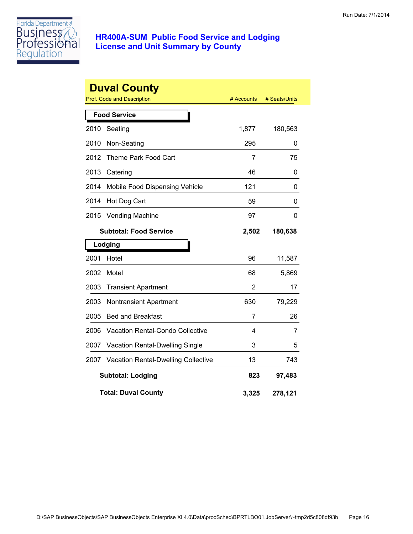

|      | <b>Duval County</b><br><b>Prof. Code and Description</b> | # Accounts | # Seats/Units |
|------|----------------------------------------------------------|------------|---------------|
|      | <b>Food Service</b>                                      |            |               |
| 2010 | Seating                                                  | 1,877      | 180,563       |
| 2010 | Non-Seating                                              | 295        | 0             |
| 2012 | Theme Park Food Cart                                     | 7          | 75            |
| 2013 | Catering                                                 | 46         | 0             |
| 2014 | Mobile Food Dispensing Vehicle                           | 121        | 0             |
| 2014 | Hot Dog Cart                                             | 59         | 0             |
| 2015 | <b>Vending Machine</b>                                   | 97         | 0             |
|      | <b>Subtotal: Food Service</b>                            | 2,502      | 180,638       |
|      | Lodging                                                  |            |               |
| 2001 | Hotel                                                    | 96         | 11,587        |
| 2002 | Motel                                                    | 68         | 5,869         |
| 2003 | <b>Transient Apartment</b>                               | 2          | 17            |
| 2003 | <b>Nontransient Apartment</b>                            | 630        | 79,229        |
| 2005 | <b>Bed and Breakfast</b>                                 | 7          | 26            |
| 2006 | <b>Vacation Rental-Condo Collective</b>                  | 4          | 7             |
| 2007 | Vacation Rental-Dwelling Single                          | 3          | 5             |
| 2007 | <b>Vacation Rental-Dwelling Collective</b>               | 13         | 743           |
|      | <b>Subtotal: Lodging</b>                                 | 823        | 97,483        |
|      | <b>Total: Duval County</b>                               | 3,325      | 278,121       |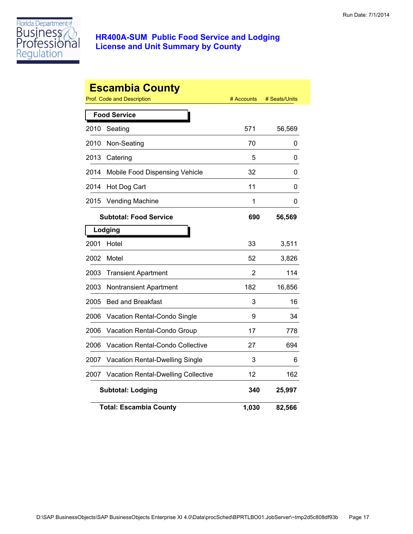

|      | <b>Escambia County</b><br>Prof. Code and Description | # Accounts | # Seats/Units |
|------|------------------------------------------------------|------------|---------------|
|      | <b>Food Service</b>                                  |            |               |
| 2010 | Seating                                              | 571        | 56,569        |
| 2010 | Non-Seating                                          | 70         | 0             |
| 2013 | Catering                                             | 5          | 0             |
| 2014 | Mobile Food Dispensing Vehicle                       | 32         | 0             |
| 2014 | Hot Dog Cart                                         | 11         | 0             |
| 2015 | <b>Vending Machine</b>                               | 1          | 0             |
|      | <b>Subtotal: Food Service</b>                        | 690        | 56,569        |
|      | Lodging                                              |            |               |
| 2001 | Hotel                                                | 33         | 3,511         |
| 2002 | Motel                                                | 52         | 3,826         |
| 2003 | <b>Transient Apartment</b>                           | 2          | 114           |
| 2003 | Nontransient Apartment                               | 182        | 16,856        |
| 2005 | <b>Bed and Breakfast</b>                             | 3          | 16            |
| 2006 | Vacation Rental-Condo Single                         | 9          | 34            |
| 2006 | Vacation Rental-Condo Group                          | 17         | 778           |
| 2006 | Vacation Rental-Condo Collective                     | 27         | 694           |
| 2007 | Vacation Rental-Dwelling Single                      | 3          | 6             |
| 2007 | <b>Vacation Rental-Dwelling Collective</b>           | 12         | 162           |
|      | <b>Subtotal: Lodging</b>                             | 340        | 25,997        |
|      | <b>Total: Escambia County</b>                        | 1,030      | 82,566        |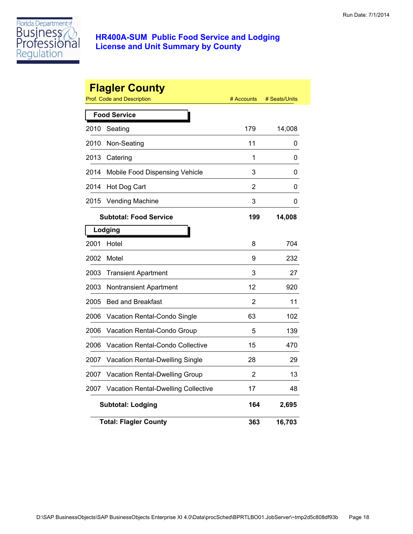

|      | <b>Flagler County</b><br><b>Prof. Code and Description</b> | # Accounts | # Seats/Units |
|------|------------------------------------------------------------|------------|---------------|
|      | <b>Food Service</b>                                        |            |               |
| 2010 | Seating                                                    | 179        | 14,008        |
| 2010 | Non-Seating                                                | 11         | 0             |
| 2013 | Catering                                                   | 1          | 0             |
| 2014 | Mobile Food Dispensing Vehicle                             | 3          | 0             |
| 2014 | Hot Dog Cart                                               | 2          | 0             |
| 2015 | <b>Vending Machine</b>                                     | 3          | 0             |
|      | <b>Subtotal: Food Service</b>                              | 199        | 14,008        |
|      | Lodging                                                    |            |               |
| 2001 | Hotel                                                      | 8          | 704           |
| 2002 | Motel                                                      | 9          | 232           |
| 2003 | <b>Transient Apartment</b>                                 | 3          | 27            |
| 2003 | Nontransient Apartment                                     | 12         | 920           |
| 2005 | <b>Bed and Breakfast</b>                                   | 2          | 11            |
| 2006 | Vacation Rental-Condo Single                               | 63         | 102           |
| 2006 | Vacation Rental-Condo Group                                | 5          | 139           |
| 2006 | Vacation Rental-Condo Collective                           | 15         | 470           |
| 2007 | Vacation Rental-Dwelling Single                            | 28         | 29            |
| 2007 | Vacation Rental-Dwelling Group                             | 2          | 13            |
| 2007 | Vacation Rental-Dwelling Collective                        | 17         | 48            |
|      | <b>Subtotal: Lodging</b>                                   | 164        | 2,695         |
|      | <b>Total: Flagler County</b>                               | 363        | 16,703        |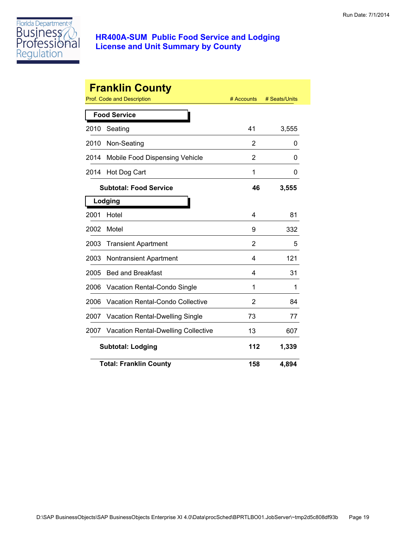

|      | <b>Franklin County</b>                     |                |               |
|------|--------------------------------------------|----------------|---------------|
|      | Prof. Code and Description                 | # Accounts     | # Seats/Units |
|      | <b>Food Service</b>                        |                |               |
| 2010 | Seating                                    | 41             | 3,555         |
| 2010 | Non-Seating                                | 2              | 0             |
| 2014 | Mobile Food Dispensing Vehicle             | 2              | 0             |
| 2014 | Hot Dog Cart                               | 1              | 0             |
|      | <b>Subtotal: Food Service</b>              | 46             | 3,555         |
|      | Lodging                                    |                |               |
| 2001 | Hotel                                      | 4              | 81            |
| 2002 | Motel                                      | 9              | 332           |
| 2003 | <b>Transient Apartment</b>                 | $\overline{2}$ | 5             |
| 2003 | <b>Nontransient Apartment</b>              | 4              | 121           |
| 2005 | <b>Bed and Breakfast</b>                   | 4              | 31            |
| 2006 | Vacation Rental-Condo Single               | 1              | 1             |
| 2006 | Vacation Rental-Condo Collective           | 2              | 84            |
| 2007 | Vacation Rental-Dwelling Single            | 73             | 77            |
| 2007 | <b>Vacation Rental-Dwelling Collective</b> | 13             | 607           |
|      | <b>Subtotal: Lodging</b>                   | 112            | 1,339         |
|      | <b>Total: Franklin County</b>              | 158            | 4,894         |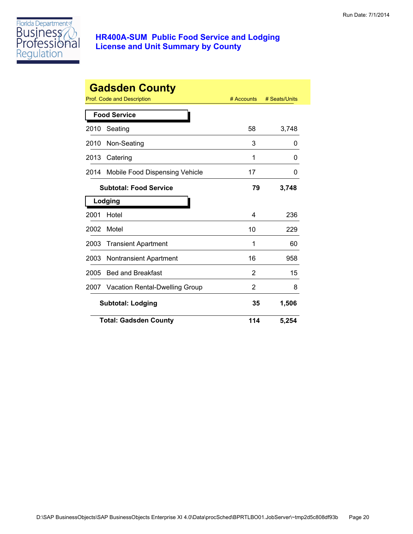

| <b>Gadsden County</b> |                                |            |               |
|-----------------------|--------------------------------|------------|---------------|
|                       | Prof. Code and Description     | # Accounts | # Seats/Units |
|                       | <b>Food Service</b>            |            |               |
| 2010                  | Seating                        | 58         | 3,748         |
| 2010                  | Non-Seating                    | 3          | 0             |
| 2013                  | Catering                       | 1          | 0             |
| 2014                  | Mobile Food Dispensing Vehicle | 17         | 0             |
|                       | <b>Subtotal: Food Service</b>  | 79         | 3,748         |
|                       | Lodging                        |            |               |
| 2001                  | Hotel                          | 4          | 236           |
| 2002                  | Motel                          | 10         | 229           |
| 2003                  | <b>Transient Apartment</b>     | 1          | 60            |
| 2003                  | <b>Nontransient Apartment</b>  | 16         | 958           |
| 2005                  | <b>Bed and Breakfast</b>       | 2          | 15            |
| 2007                  | Vacation Rental-Dwelling Group | 2          | 8             |
|                       | <b>Subtotal: Lodging</b>       | 35         | 1,506         |
|                       | <b>Total: Gadsden County</b>   | 114        | 5,254         |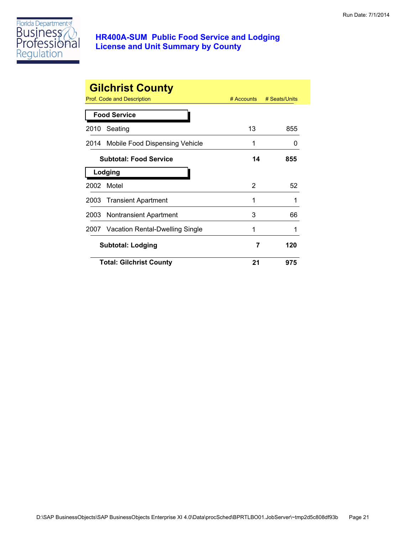

|      | <b>Gilchrist County</b><br>Prof. Code and Description | $#$ Accounts | # Seats/Units |
|------|-------------------------------------------------------|--------------|---------------|
|      |                                                       |              |               |
|      | <b>Food Service</b>                                   |              |               |
| 2010 | Seating                                               | 13           | 855           |
|      | 2014 Mobile Food Dispensing Vehicle                   | 1            | O             |
|      | <b>Subtotal: Food Service</b>                         | 14           | 855           |
|      | Lodging                                               |              |               |
| 2002 | Motel                                                 | 2            | 52            |
|      | 2003 Transient Apartment                              | 1            | 1             |
|      | 2003 Nontransient Apartment                           | 3            | 66            |
|      | 2007 Vacation Rental-Dwelling Single                  | 1            |               |
|      | <b>Subtotal: Lodging</b>                              | 7            | 120           |
|      | <b>Total: Gilchrist County</b>                        | 21           | 975           |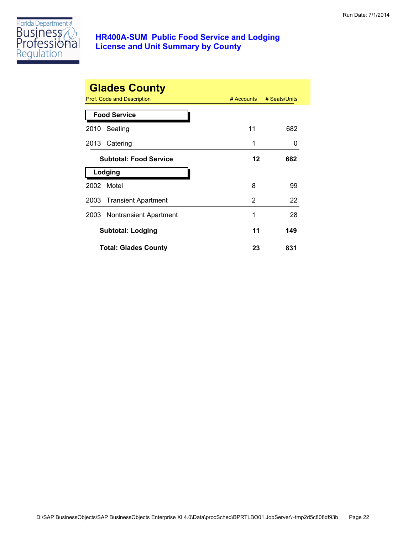

|      | <b>Glades County</b><br>Prof. Code and Description | # Accounts | # Seats/Units |
|------|----------------------------------------------------|------------|---------------|
|      | <b>Food Service</b>                                |            |               |
| 2010 | Seating                                            | 11         | 682           |
|      | 2013 Catering                                      | 1          | 0             |
|      | <b>Subtotal: Food Service</b>                      | 12         | 682           |
|      | Lodging                                            |            |               |
| 2002 | Motel                                              | 8          | 99            |
|      | 2003 Transient Apartment                           | 2          | 22            |
|      | 2003 Nontransient Apartment                        | 1          | 28            |
|      | <b>Subtotal: Lodging</b>                           | 11         | 149           |
|      | <b>Total: Glades County</b>                        | 23         | 831           |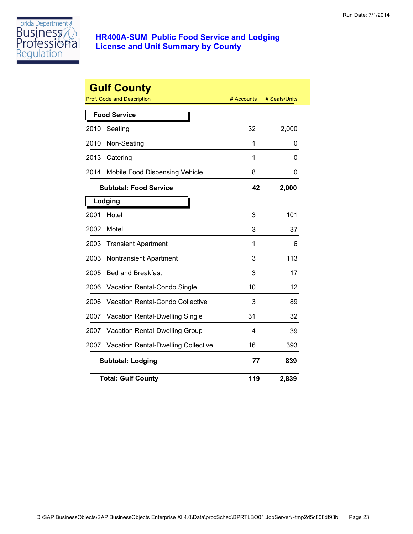

|      | <b>Gulf County</b><br><b>Prof. Code and Description</b> | # Accounts | # Seats/Units |
|------|---------------------------------------------------------|------------|---------------|
|      | <b>Food Service</b>                                     |            |               |
| 2010 | Seating                                                 | 32         | 2,000         |
| 2010 | Non-Seating                                             | 1          | 0             |
| 2013 | Catering                                                | 1          | 0             |
| 2014 | Mobile Food Dispensing Vehicle                          | 8          | 0             |
|      | <b>Subtotal: Food Service</b>                           | 42         | 2,000         |
|      | Lodging                                                 |            |               |
| 2001 | Hotel                                                   | 3          | 101           |
| 2002 | Motel                                                   | 3          | 37            |
| 2003 | <b>Transient Apartment</b>                              | 1          | 6             |
| 2003 | Nontransient Apartment                                  | 3          | 113           |
| 2005 | <b>Bed and Breakfast</b>                                | 3          | 17            |
| 2006 | Vacation Rental-Condo Single                            | 10         | 12            |
| 2006 | <b>Vacation Rental-Condo Collective</b>                 | 3          | 89            |
| 2007 | Vacation Rental-Dwelling Single                         | 31         | 32            |
| 2007 | Vacation Rental-Dwelling Group                          | 4          | 39            |
| 2007 | <b>Vacation Rental-Dwelling Collective</b>              | 16         | 393           |
|      | <b>Subtotal: Lodging</b>                                | 77         | 839           |
|      | <b>Total: Gulf County</b>                               | 119        | 2,839         |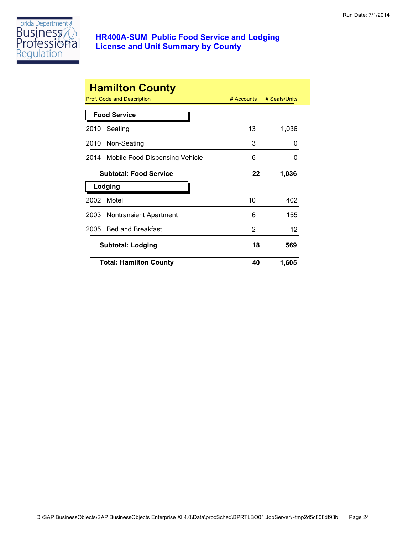

|      | <b>Hamilton County</b><br>Prof. Code and Description | $#$ Accounts | # Seats/Units |
|------|------------------------------------------------------|--------------|---------------|
|      | <b>Food Service</b>                                  |              |               |
| 2010 | Seating                                              | 13           | 1,036         |
|      | 2010 Non-Seating                                     | 3            | 0             |
|      | 2014 Mobile Food Dispensing Vehicle                  | 6            | 0             |
|      | <b>Subtotal: Food Service</b>                        | 22           | 1,036         |
|      | Lodging                                              |              |               |
| 2002 | Motel                                                | 10           | 402           |
|      | 2003 Nontransient Apartment                          | 6            | 155           |
| 2005 | <b>Bed and Breakfast</b>                             | 2            | 12            |
|      | <b>Subtotal: Lodging</b>                             | 18           | 569           |
|      | <b>Total: Hamilton County</b>                        | 40           | 1,605         |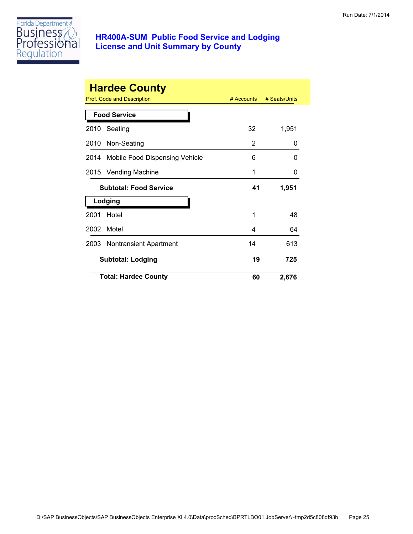

|      | <b>Hardee County</b><br>Prof. Code and Description | $#$ Accounts | # Seats/Units |
|------|----------------------------------------------------|--------------|---------------|
|      | <b>Food Service</b>                                |              |               |
| 2010 | Seating                                            | 32           | 1,951         |
|      | 2010 Non-Seating                                   | 2            | 0             |
| 2014 | Mobile Food Dispensing Vehicle                     | 6            | O             |
|      | 2015 Vending Machine                               | 1            | 0             |
|      | <b>Subtotal: Food Service</b>                      | 41           | 1,951         |
|      | Lodging                                            |              |               |
| 2001 | Hotel                                              | 1            | 48            |
| 2002 | Motel                                              | 4            | 64            |
| 2003 | <b>Nontransient Apartment</b>                      | 14           | 613           |
|      | <b>Subtotal: Lodging</b>                           | 19           | 725           |
|      | <b>Total: Hardee County</b>                        | 60           | 2,676         |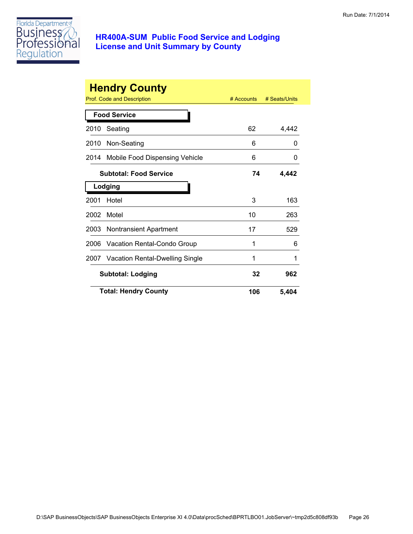

|      | <b>Hendry County</b>            |            |               |
|------|---------------------------------|------------|---------------|
|      | Prof. Code and Description      | # Accounts | # Seats/Units |
|      | <b>Food Service</b>             |            |               |
| 2010 | Seating                         | 62         | 4,442         |
| 2010 | Non-Seating                     | 6          | O             |
| 2014 | Mobile Food Dispensing Vehicle  | 6          | 0             |
|      | <b>Subtotal: Food Service</b>   | 74         | 4,442         |
|      | Lodging                         |            |               |
| 2001 | Hotel                           | 3          | 163           |
| 2002 | Motel                           | 10         | 263           |
| 2003 | Nontransient Apartment          | 17         | 529           |
| 2006 | Vacation Rental-Condo Group     | 1          | 6             |
| 2007 | Vacation Rental-Dwelling Single | 1          | 1             |
|      | <b>Subtotal: Lodging</b>        | 32         | 962           |
|      | <b>Total: Hendry County</b>     | 106        | 5,404         |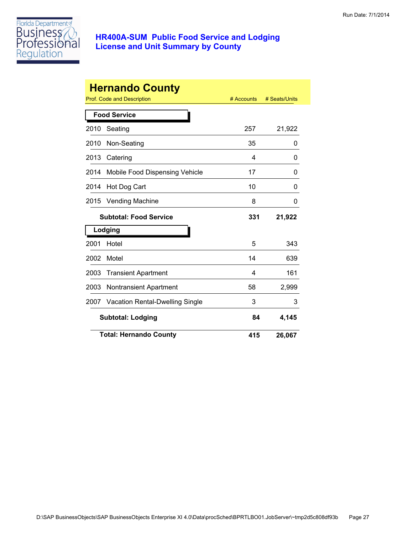

|      | <b>Hernando County</b><br>Prof. Code and Description | # Accounts | # Seats/Units |
|------|------------------------------------------------------|------------|---------------|
|      | <b>Food Service</b>                                  |            |               |
| 2010 | Seating                                              | 257        | 21,922        |
| 2010 | Non-Seating                                          | 35         | 0             |
| 2013 | Catering                                             | 4          | 0             |
| 2014 | Mobile Food Dispensing Vehicle                       | 17         | 0             |
| 2014 | Hot Dog Cart                                         | 10         | 0             |
| 2015 | <b>Vending Machine</b>                               | 8          | 0             |
|      | <b>Subtotal: Food Service</b>                        | 331        | 21,922        |
|      | Lodging                                              |            |               |
| 2001 | Hotel                                                | 5          | 343           |
| 2002 | Motel                                                | 14         | 639           |
| 2003 | <b>Transient Apartment</b>                           | 4          | 161           |
| 2003 | <b>Nontransient Apartment</b>                        | 58         | 2,999         |
| 2007 | Vacation Rental-Dwelling Single                      | 3          | 3             |
|      | <b>Subtotal: Lodging</b>                             | 84         | 4,145         |
|      | <b>Total: Hernando County</b>                        | 415        | 26,067        |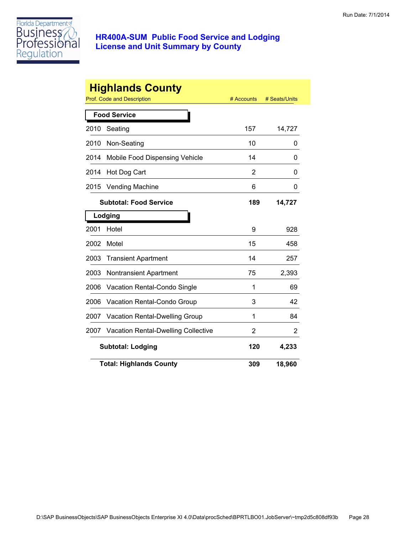

|      | <b>Highlands County</b><br><b>Prof. Code and Description</b> | # Accounts | # Seats/Units |
|------|--------------------------------------------------------------|------------|---------------|
|      | <b>Food Service</b>                                          |            |               |
|      |                                                              |            |               |
| 2010 | Seating                                                      | 157        | 14,727        |
| 2010 | Non-Seating                                                  | 10         | 0             |
| 2014 | Mobile Food Dispensing Vehicle                               | 14         | 0             |
| 2014 | Hot Dog Cart                                                 | 2          | 0             |
| 2015 | <b>Vending Machine</b>                                       | 6          | 0             |
|      | <b>Subtotal: Food Service</b>                                | 189        | 14,727        |
|      | Lodging                                                      |            |               |
| 2001 | Hotel                                                        | 9          | 928           |
| 2002 | Motel                                                        | 15         | 458           |
| 2003 | <b>Transient Apartment</b>                                   | 14         | 257           |
| 2003 | <b>Nontransient Apartment</b>                                | 75         | 2,393         |
| 2006 | Vacation Rental-Condo Single                                 | 1          | 69            |
| 2006 | Vacation Rental-Condo Group                                  | 3          | 42            |
| 2007 | Vacation Rental-Dwelling Group                               | 1          | 84            |
| 2007 | Vacation Rental-Dwelling Collective                          | 2          | 2             |
|      | 4,233<br><b>Subtotal: Lodging</b><br>120                     |            |               |
|      | <b>Total: Highlands County</b>                               | 309        | 18,960        |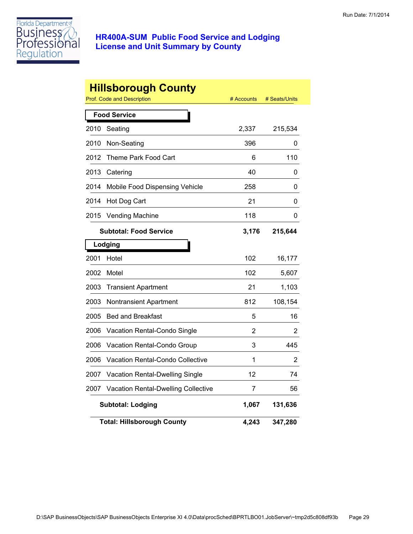

|      | <b>Hillsborough County</b><br>Prof. Code and Description | # Accounts | # Seats/Units |  |  |
|------|----------------------------------------------------------|------------|---------------|--|--|
|      | <b>Food Service</b>                                      |            |               |  |  |
| 2010 | Seating                                                  | 2,337      | 215,534       |  |  |
| 2010 | Non-Seating                                              | 396        | 0             |  |  |
| 2012 | Theme Park Food Cart                                     | 6          | 110           |  |  |
| 2013 | Catering                                                 | 40         | 0             |  |  |
| 2014 | Mobile Food Dispensing Vehicle                           | 258        | 0             |  |  |
| 2014 | Hot Dog Cart                                             | 21         | 0             |  |  |
| 2015 | <b>Vending Machine</b>                                   | 118        | 0             |  |  |
|      | <b>Subtotal: Food Service</b>                            | 3,176      | 215,644       |  |  |
|      | Lodging                                                  |            |               |  |  |
| 2001 | Hotel                                                    | 102        | 16,177        |  |  |
| 2002 | Motel                                                    | 102        | 5,607         |  |  |
| 2003 | <b>Transient Apartment</b>                               | 21         | 1,103         |  |  |
| 2003 | <b>Nontransient Apartment</b>                            | 812        | 108,154       |  |  |
| 2005 | <b>Bed and Breakfast</b>                                 | 5          | 16            |  |  |
| 2006 | Vacation Rental-Condo Single                             | 2          | 2             |  |  |
| 2006 | Vacation Rental-Condo Group                              | 3          | 445           |  |  |
| 2006 | Vacation Rental-Condo Collective                         | 1          | 2             |  |  |
| 2007 | Vacation Rental-Dwelling Single                          | 12         | 74            |  |  |
| 2007 | Vacation Rental-Dwelling Collective                      | 7          | 56            |  |  |
|      | <b>Subtotal: Lodging</b>                                 | 1,067      | 131,636       |  |  |
|      | <b>Total: Hillsborough County</b>                        | 4,243      | 347,280       |  |  |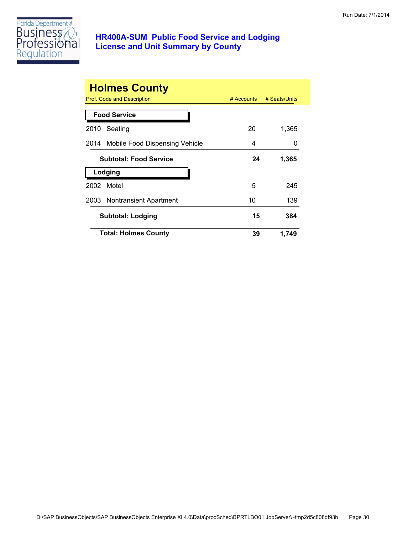

|      | <b>Holmes County</b>                |            |               |
|------|-------------------------------------|------------|---------------|
|      | <b>Prof. Code and Description</b>   | # Accounts | # Seats/Units |
|      | <b>Food Service</b>                 |            |               |
| 2010 | Seating                             | 20         | 1,365         |
|      | 2014 Mobile Food Dispensing Vehicle | 4          | $\mathbf{I}$  |
|      | <b>Subtotal: Food Service</b>       | 24         | 1,365         |
|      | Lodging                             |            |               |
| 2002 | Motel                               | 5          | 245           |
|      | 2003 Nontransient Apartment         | 10         | 139           |
|      | <b>Subtotal: Lodging</b>            | 15         | 384           |
|      | <b>Total: Holmes County</b>         | 39         | 1,749         |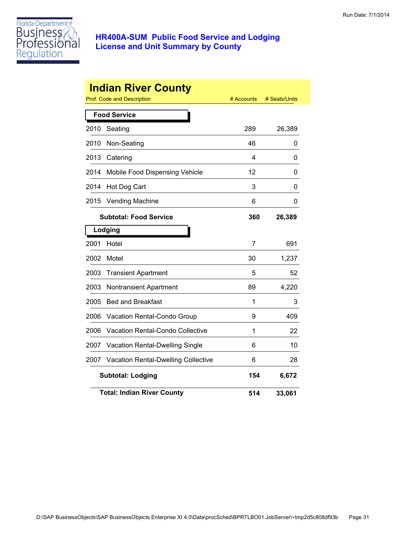

|      | <b>Indian River County</b><br>Prof. Code and Description | # Accounts | # Seats/Units |
|------|----------------------------------------------------------|------------|---------------|
|      | <b>Food Service</b>                                      |            |               |
| 2010 | Seating                                                  | 289        | 26,389        |
| 2010 | Non-Seating                                              | 46         | 0             |
| 2013 | Catering                                                 | 4          | 0             |
| 2014 | Mobile Food Dispensing Vehicle                           | 12         | 0             |
| 2014 | Hot Dog Cart                                             | 3          | 0             |
| 2015 | <b>Vending Machine</b>                                   | 6          | 0             |
|      | <b>Subtotal: Food Service</b>                            | 360        | 26,389        |
|      | Lodging                                                  |            |               |
| 2001 | Hotel                                                    | 7          | 691           |
| 2002 | Motel                                                    | 30         | 1,237         |
| 2003 | <b>Transient Apartment</b>                               | 5          | 52            |
| 2003 | <b>Nontransient Apartment</b>                            | 89         | 4,220         |
| 2005 | <b>Bed and Breakfast</b>                                 | 1          | 3             |
| 2006 | Vacation Rental-Condo Group                              | 9          | 409           |
| 2006 | <b>Vacation Rental-Condo Collective</b>                  | 1          | 22            |
| 2007 | Vacation Rental-Dwelling Single                          | 6          | 10            |
| 2007 | <b>Vacation Rental-Dwelling Collective</b>               | 6          | 28            |
|      | <b>Subtotal: Lodging</b>                                 | 154        | 6,672         |
|      | <b>Total: Indian River County</b>                        | 514        | 33,061        |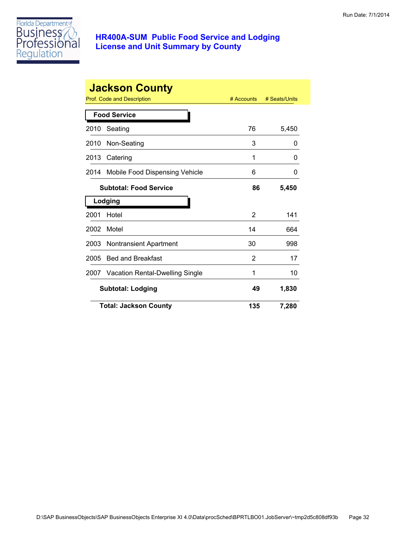

|      | <b>Jackson County</b>           |            |               |
|------|---------------------------------|------------|---------------|
|      | Prof. Code and Description      | # Accounts | # Seats/Units |
|      | <b>Food Service</b>             |            |               |
| 2010 | Seating                         | 76         | 5,450         |
| 2010 | Non-Seating                     | 3          | 0             |
| 2013 | Catering                        | 1          | 0             |
| 2014 | Mobile Food Dispensing Vehicle  | 6          | 0             |
|      | <b>Subtotal: Food Service</b>   | 86         | 5,450         |
|      | Lodging                         |            |               |
| 2001 | Hotel                           | 2          | 141           |
| 2002 | Motel                           | 14         | 664           |
| 2003 | <b>Nontransient Apartment</b>   | 30         | 998           |
| 2005 | <b>Bed and Breakfast</b>        | 2          | 17            |
| 2007 | Vacation Rental-Dwelling Single | 1          | 10            |
|      | <b>Subtotal: Lodging</b>        | 49         | 1,830         |
|      | <b>Total: Jackson County</b>    | 135        | 7,280         |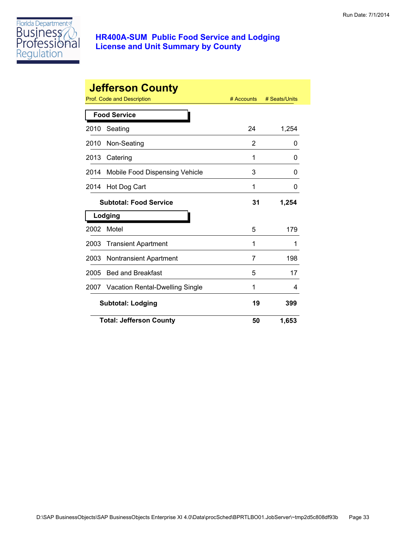

|      | <b>Jefferson County</b>         |              |               |
|------|---------------------------------|--------------|---------------|
|      | Prof. Code and Description      | $#$ Accounts | # Seats/Units |
|      | <b>Food Service</b>             |              |               |
| 2010 | Seating                         | 24           | 1,254         |
| 2010 | Non-Seating                     | 2            | 0             |
| 2013 | Catering                        | 1            | 0             |
| 2014 | Mobile Food Dispensing Vehicle  | 3            | 0             |
| 2014 | Hot Dog Cart                    | 1            | 0             |
|      | <b>Subtotal: Food Service</b>   | 31           | 1,254         |
|      | Lodging                         |              |               |
| 2002 | Motel                           | 5            | 179           |
| 2003 | <b>Transient Apartment</b>      | 1            | 1             |
| 2003 | <b>Nontransient Apartment</b>   | 7            | 198           |
| 2005 | <b>Bed and Breakfast</b>        | 5            | 17            |
| 2007 | Vacation Rental-Dwelling Single | 1            | 4             |
|      | <b>Subtotal: Lodging</b>        | 19           | 399           |
|      | <b>Total: Jefferson County</b>  | 50           | 1,653         |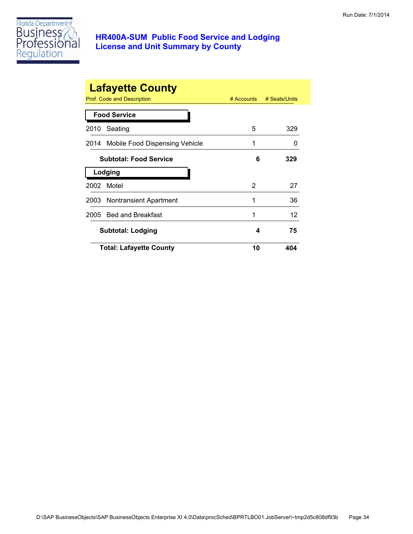

| <b>Lafayette County</b><br>Prof. Code and Description<br># Accounts<br># Seats/Units |                                           |    |     |  |  |
|--------------------------------------------------------------------------------------|-------------------------------------------|----|-----|--|--|
|                                                                                      | <b>Food Service</b>                       |    |     |  |  |
| 2010                                                                                 | Seating                                   | 5  | 329 |  |  |
|                                                                                      | 2014 Mobile Food Dispensing Vehicle       | 1  | 0   |  |  |
|                                                                                      | <b>Subtotal: Food Service</b><br>6<br>329 |    |     |  |  |
|                                                                                      | Lodging                                   |    |     |  |  |
| 2002                                                                                 | Motel                                     | 2  | 27  |  |  |
|                                                                                      | 2003 Nontransient Apartment               | 1  | 36  |  |  |
|                                                                                      | 2005 Bed and Breakfast                    | 1  | 12  |  |  |
|                                                                                      | 75<br><b>Subtotal: Lodging</b><br>4       |    |     |  |  |
|                                                                                      | <b>Total: Lafayette County</b>            | 10 | 404 |  |  |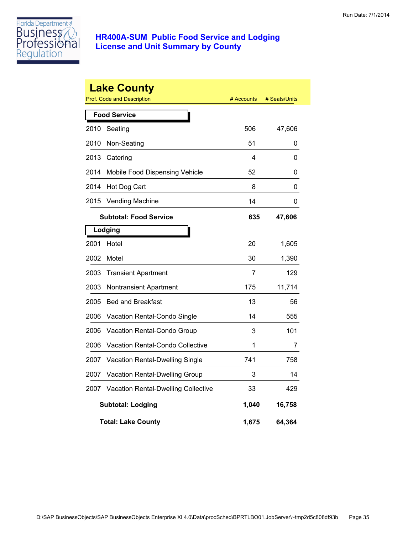

|      | <b>Lake County</b><br><b>Prof. Code and Description</b> | # Accounts | # Seats/Units |
|------|---------------------------------------------------------|------------|---------------|
|      | <b>Food Service</b>                                     |            |               |
| 2010 | Seating                                                 | 506        | 47,606        |
| 2010 | Non-Seating                                             | 51         | 0             |
| 2013 | Catering                                                | 4          | 0             |
| 2014 | Mobile Food Dispensing Vehicle                          | 52         | 0             |
| 2014 | Hot Dog Cart                                            | 8          | 0             |
| 2015 | <b>Vending Machine</b>                                  | 14         | 0             |
|      | <b>Subtotal: Food Service</b>                           | 635        | 47,606        |
|      | Lodging                                                 |            |               |
| 2001 | Hotel                                                   | 20         | 1,605         |
| 2002 | Motel                                                   | 30         | 1,390         |
| 2003 | <b>Transient Apartment</b>                              | 7          | 129           |
| 2003 | Nontransient Apartment                                  | 175        | 11,714        |
| 2005 | <b>Bed and Breakfast</b>                                | 13         | 56            |
| 2006 | Vacation Rental-Condo Single                            | 14         | 555           |
| 2006 | Vacation Rental-Condo Group                             | 3          | 101           |
| 2006 | Vacation Rental-Condo Collective                        | 1          | 7             |
| 2007 | Vacation Rental-Dwelling Single                         | 741        | 758           |
| 2007 | Vacation Rental-Dwelling Group                          | 3          | 14            |
| 2007 | <b>Vacation Rental-Dwelling Collective</b>              | 33         | 429           |
|      | <b>Subtotal: Lodging</b>                                | 1,040      | 16,758        |
|      | <b>Total: Lake County</b>                               | 1,675      | 64,364        |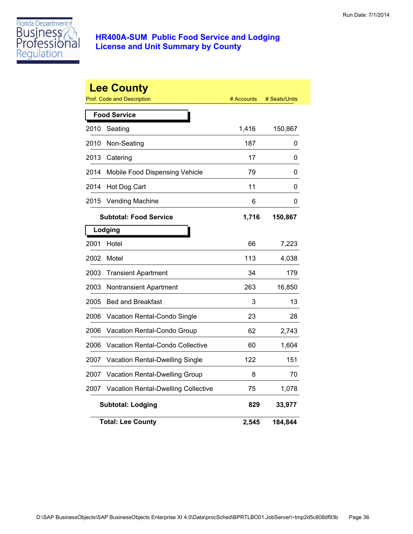

|      | <b>Lee County</b><br><b>Prof. Code and Description</b> | # Accounts | # Seats/Units |
|------|--------------------------------------------------------|------------|---------------|
|      | <b>Food Service</b>                                    |            |               |
| 2010 | Seating                                                | 1,416      | 150,867       |
| 2010 | Non-Seating                                            | 187        | 0             |
| 2013 | Catering                                               | 17         | 0             |
| 2014 | Mobile Food Dispensing Vehicle                         | 79         | 0             |
| 2014 | Hot Dog Cart                                           | 11         | 0             |
| 2015 | <b>Vending Machine</b>                                 | 6          | 0             |
|      | <b>Subtotal: Food Service</b>                          | 1,716      | 150,867       |
|      | Lodging                                                |            |               |
| 2001 | Hotel                                                  | 66         | 7,223         |
| 2002 | Motel                                                  | 113        | 4,038         |
| 2003 | <b>Transient Apartment</b>                             | 34         | 179           |
| 2003 | Nontransient Apartment                                 | 263        | 16,850        |
| 2005 | <b>Bed and Breakfast</b>                               | 3          | 13            |
| 2006 | Vacation Rental-Condo Single                           | 23         | 28            |
| 2006 | Vacation Rental-Condo Group                            | 62         | 2,743         |
| 2006 | Vacation Rental-Condo Collective                       | 60         | 1,604         |
| 2007 | <b>Vacation Rental-Dwelling Single</b>                 | 122        | 151           |
| 2007 | Vacation Rental-Dwelling Group                         | 8          | 70            |
| 2007 | <b>Vacation Rental-Dwelling Collective</b>             | 75         | 1,078         |
|      | <b>Subtotal: Lodging</b>                               | 829        | 33,977        |
|      | <b>Total: Lee County</b>                               | 2,545      | 184,844       |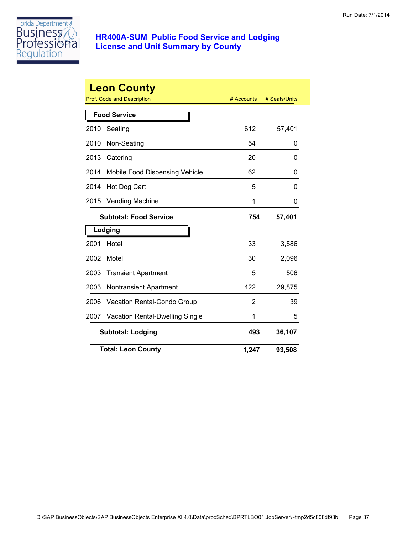

|      | <b>Leon County</b><br>Prof. Code and Description | # Accounts | # Seats/Units |
|------|--------------------------------------------------|------------|---------------|
|      |                                                  |            |               |
|      | <b>Food Service</b>                              |            |               |
| 2010 | Seating                                          | 612        | 57,401        |
| 2010 | Non-Seating                                      | 54         | 0             |
| 2013 | Catering                                         | 20         | 0             |
| 2014 | Mobile Food Dispensing Vehicle                   | 62         | 0             |
| 2014 | Hot Dog Cart                                     | 5          | 0             |
| 2015 | <b>Vending Machine</b>                           | 1          | 0             |
|      | <b>Subtotal: Food Service</b>                    | 754        | 57,401        |
|      | Lodging                                          |            |               |
| 2001 | Hotel                                            | 33         | 3,586         |
| 2002 | Motel                                            | 30         | 2,096         |
| 2003 | <b>Transient Apartment</b>                       | 5          | 506           |
| 2003 | <b>Nontransient Apartment</b>                    | 422        | 29,875        |
| 2006 | Vacation Rental-Condo Group                      | 2          | 39            |
| 2007 | <b>Vacation Rental-Dwelling Single</b>           | 1          | 5             |
|      | <b>Subtotal: Lodging</b>                         | 493        | 36,107        |
|      | <b>Total: Leon County</b>                        | 1,247      | 93,508        |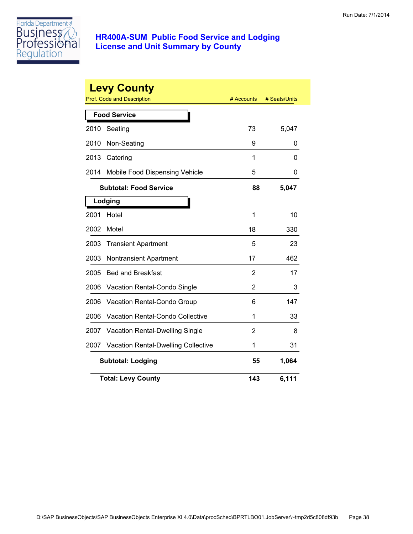

|      | <b>Levy County</b><br><b>Prof. Code and Description</b> | # Accounts | # Seats/Units |
|------|---------------------------------------------------------|------------|---------------|
|      | <b>Food Service</b>                                     |            |               |
| 2010 | Seating                                                 | 73         | 5,047         |
| 2010 | Non-Seating                                             | 9          | 0             |
| 2013 | Catering                                                | 1          | 0             |
| 2014 | Mobile Food Dispensing Vehicle                          | 5          | 0             |
|      | Subtotal: Food Service                                  | 88         | 5,047         |
|      | Lodging                                                 |            |               |
| 2001 | Hotel                                                   | 1          | 10            |
| 2002 | Motel                                                   | 18         | 330           |
| 2003 | <b>Transient Apartment</b>                              | 5          | 23            |
| 2003 | <b>Nontransient Apartment</b>                           | 17         | 462           |
| 2005 | <b>Bed and Breakfast</b>                                | 2          | 17            |
| 2006 | Vacation Rental-Condo Single                            | 2          | 3             |
| 2006 | Vacation Rental-Condo Group                             | 6          | 147           |
| 2006 | Vacation Rental-Condo Collective                        | 1          | 33            |
| 2007 | Vacation Rental-Dwelling Single                         | 2          | 8             |
| 2007 | <b>Vacation Rental-Dwelling Collective</b>              | 1          | 31            |
|      | <b>Subtotal: Lodging</b>                                | 55         | 1,064         |
|      | <b>Total: Levy County</b>                               | 143        | 6,111         |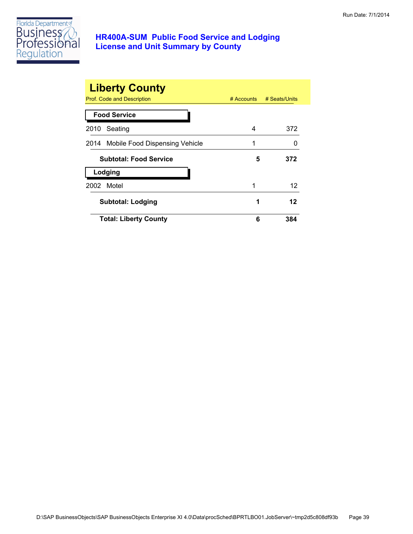

| <b>Liberty County</b><br>Prof. Code and Description | $#$ Accounts | # Seats/Units |
|-----------------------------------------------------|--------------|---------------|
| <b>Food Service</b>                                 |              |               |
| Seating<br>2010                                     | 4            | 372           |
| 2014 Mobile Food Dispensing Vehicle                 | 1            |               |
| <b>Subtotal: Food Service</b>                       | 5            | 372           |
| Lodging                                             |              |               |
| Motel<br>2002                                       | 1            | 12            |
| <b>Subtotal: Lodging</b>                            | 1            | 12            |
| <b>Total: Liberty County</b>                        | 6            | 384           |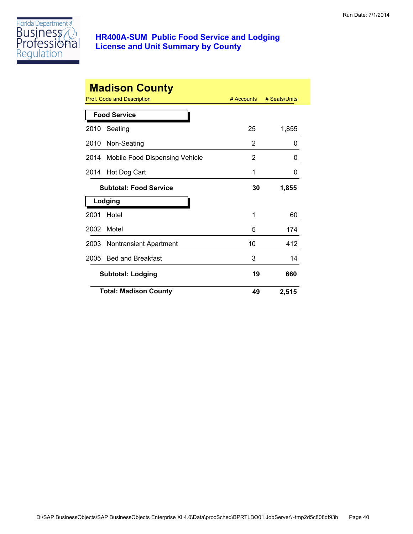

| <b>Madison County</b> |                                |              |               |  |
|-----------------------|--------------------------------|--------------|---------------|--|
|                       | Prof. Code and Description     | $#$ Accounts | # Seats/Units |  |
|                       | <b>Food Service</b>            |              |               |  |
| 2010                  | Seating                        | 25           | 1,855         |  |
| 2010                  | Non-Seating                    | 2            | 0             |  |
| 2014                  | Mobile Food Dispensing Vehicle | 2            | 0             |  |
| 2014                  | Hot Dog Cart                   | 1            | 0             |  |
|                       | <b>Subtotal: Food Service</b>  | 30           | 1,855         |  |
|                       | Lodging                        |              |               |  |
| 2001                  | Hotel                          | 1            | 60            |  |
| 2002                  | Motel                          | 5            | 174           |  |
| 2003                  | <b>Nontransient Apartment</b>  | 10           | 412           |  |
| 2005                  | <b>Bed and Breakfast</b>       | 3            | 14            |  |
|                       | <b>Subtotal: Lodging</b>       | 19           | 660           |  |
|                       | <b>Total: Madison County</b>   | 49           | 2,515         |  |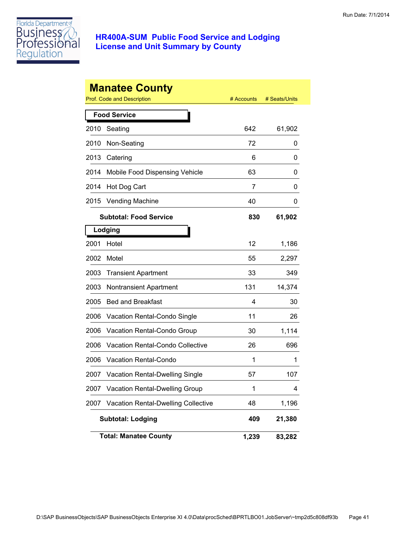

|      | <b>Manatee County</b><br>Prof. Code and Description | # Accounts | # Seats/Units |
|------|-----------------------------------------------------|------------|---------------|
|      |                                                     |            |               |
|      | <b>Food Service</b>                                 |            |               |
| 2010 | Seating                                             | 642        | 61,902        |
| 2010 | Non-Seating                                         | 72         | 0             |
| 2013 | Catering                                            | 6          | 0             |
| 2014 | Mobile Food Dispensing Vehicle                      | 63         | 0             |
| 2014 | Hot Dog Cart                                        | 7          | 0             |
| 2015 | <b>Vending Machine</b>                              | 40         | 0             |
|      | <b>Subtotal: Food Service</b>                       | 830        | 61,902        |
|      | Lodging                                             |            |               |
| 2001 | Hotel                                               | 12         | 1,186         |
| 2002 | Motel                                               | 55         | 2,297         |
| 2003 | <b>Transient Apartment</b>                          | 33         | 349           |
| 2003 | <b>Nontransient Apartment</b>                       | 131        | 14,374        |
| 2005 | <b>Bed and Breakfast</b>                            | 4          | 30            |
| 2006 | Vacation Rental-Condo Single                        | 11         | 26            |
| 2006 | Vacation Rental-Condo Group                         | 30         | 1,114         |
| 2006 | Vacation Rental-Condo Collective                    | 26         | 696           |
| 2006 | <b>Vacation Rental-Condo</b>                        | 1          | 1             |
| 2007 | Vacation Rental-Dwelling Single                     | 57         | 107           |
| 2007 | Vacation Rental-Dwelling Group                      | 1          | 4             |
| 2007 | <b>Vacation Rental-Dwelling Collective</b>          | 48         | 1,196         |
|      | <b>Subtotal: Lodging</b>                            | 409        | 21,380        |
|      | <b>Total: Manatee County</b>                        | 1,239      | 83,282        |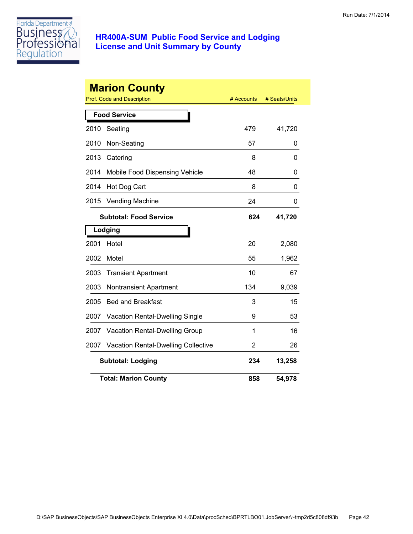

|      | <b>Marion County</b><br><b>Prof. Code and Description</b> | # Accounts | # Seats/Units |
|------|-----------------------------------------------------------|------------|---------------|
|      | <b>Food Service</b>                                       |            |               |
| 2010 | Seating                                                   | 479        | 41,720        |
| 2010 | Non-Seating                                               | 57         | 0             |
| 2013 | Catering                                                  | 8          | 0             |
| 2014 | Mobile Food Dispensing Vehicle                            | 48         | 0             |
| 2014 | Hot Dog Cart                                              | 8          | 0             |
| 2015 | <b>Vending Machine</b>                                    | 24         | 0             |
|      | <b>Subtotal: Food Service</b>                             | 624        | 41,720        |
|      | Lodging                                                   |            |               |
| 2001 | Hotel                                                     | 20         | 2,080         |
| 2002 | Motel                                                     | 55         | 1,962         |
| 2003 | <b>Transient Apartment</b>                                | 10         | 67            |
| 2003 | <b>Nontransient Apartment</b>                             | 134        | 9,039         |
| 2005 | <b>Bed and Breakfast</b>                                  | 3          | 15            |
| 2007 | Vacation Rental-Dwelling Single                           | 9          | 53            |
| 2007 | Vacation Rental-Dwelling Group                            | 1          | 16            |
| 2007 | Vacation Rental-Dwelling Collective                       | 2          | 26            |
|      | <b>Subtotal: Lodging</b>                                  | 234        | 13,258        |
|      | <b>Total: Marion County</b>                               | 858        | 54,978        |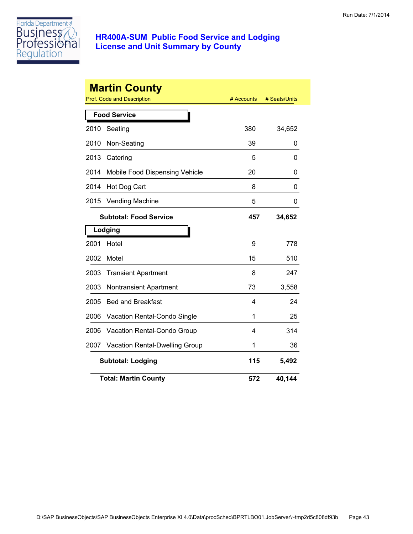

|      | <b>Martin County</b><br><b>Prof. Code and Description</b> | # Accounts | # Seats/Units |
|------|-----------------------------------------------------------|------------|---------------|
|      | <b>Food Service</b>                                       |            |               |
| 2010 | Seating                                                   | 380        | 34,652        |
| 2010 | Non-Seating                                               | 39         | 0             |
| 2013 | Catering                                                  | 5          | 0             |
| 2014 | Mobile Food Dispensing Vehicle                            | 20         | 0             |
| 2014 | Hot Dog Cart                                              | 8          | 0             |
| 2015 | <b>Vending Machine</b>                                    | 5          | 0             |
|      | <b>Subtotal: Food Service</b>                             | 457        | 34,652        |
|      | Lodging                                                   |            |               |
| 2001 | Hotel                                                     | 9          | 778           |
| 2002 | Motel                                                     | 15         | 510           |
| 2003 | <b>Transient Apartment</b>                                | 8          | 247           |
| 2003 | <b>Nontransient Apartment</b>                             | 73         | 3,558         |
| 2005 | <b>Bed and Breakfast</b>                                  | 4          | 24            |
| 2006 | Vacation Rental-Condo Single                              | 1          | 25            |
| 2006 | Vacation Rental-Condo Group                               | 4          | 314           |
| 2007 | <b>Vacation Rental-Dwelling Group</b>                     | 1          | 36            |
|      | <b>Subtotal: Lodging</b>                                  | 115        | 5,492         |
|      | <b>Total: Martin County</b>                               | 572        | 40,144        |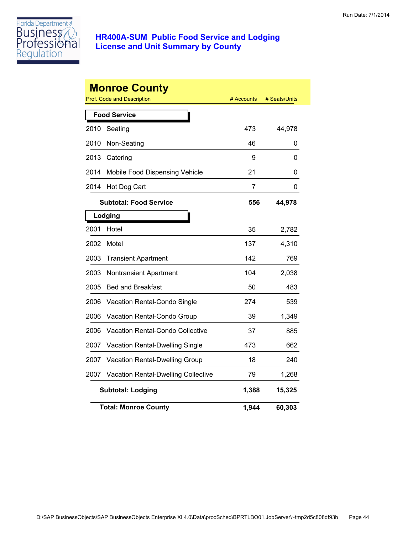

|      | <b>Monroe County</b><br>Prof. Code and Description | # Accounts | # Seats/Units |
|------|----------------------------------------------------|------------|---------------|
|      | <b>Food Service</b>                                |            |               |
| 2010 | Seating                                            | 473        | 44,978        |
| 2010 | Non-Seating                                        | 46         | 0             |
| 2013 | Catering                                           | 9          | 0             |
| 2014 | Mobile Food Dispensing Vehicle                     | 21         | 0             |
| 2014 | Hot Dog Cart                                       | 7          | 0             |
|      | <b>Subtotal: Food Service</b>                      | 556        | 44,978        |
|      | Lodging                                            |            |               |
| 2001 | Hotel                                              | 35         | 2,782         |
| 2002 | Motel                                              | 137        | 4,310         |
| 2003 | <b>Transient Apartment</b>                         | 142        | 769           |
| 2003 | <b>Nontransient Apartment</b>                      | 104        | 2,038         |
| 2005 | <b>Bed and Breakfast</b>                           | 50         | 483           |
| 2006 | Vacation Rental-Condo Single                       | 274        | 539           |
| 2006 | Vacation Rental-Condo Group                        | 39         | 1,349         |
| 2006 | Vacation Rental-Condo Collective                   | 37         | 885           |
| 2007 | <b>Vacation Rental-Dwelling Single</b>             | 473        | 662           |
| 2007 | Vacation Rental-Dwelling Group                     | 18         | 240           |
| 2007 | <b>Vacation Rental-Dwelling Collective</b>         | 79         | 1,268         |
|      | <b>Subtotal: Lodging</b>                           | 1,388      | 15,325        |
|      | <b>Total: Monroe County</b>                        | 1,944      | 60,303        |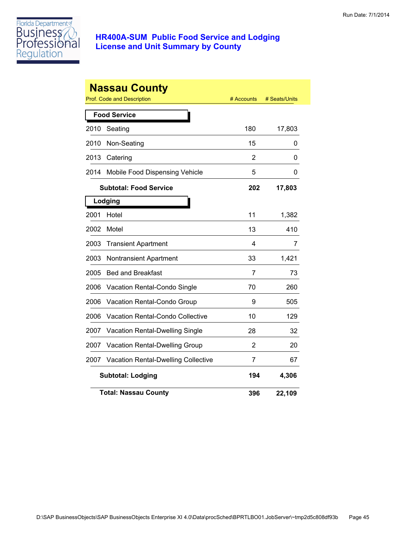

|      | <b>Nassau County</b><br>Prof. Code and Description | # Accounts | # Seats/Units |
|------|----------------------------------------------------|------------|---------------|
|      | <b>Food Service</b>                                |            |               |
| 2010 | Seating                                            | 180        | 17,803        |
| 2010 | Non-Seating                                        | 15         | 0             |
| 2013 | Catering                                           | 2          | 0             |
| 2014 | Mobile Food Dispensing Vehicle                     | 5          | 0             |
|      | <b>Subtotal: Food Service</b>                      | 202        | 17,803        |
|      | Lodging                                            |            |               |
| 2001 | Hotel                                              | 11         | 1,382         |
| 2002 | Motel                                              | 13         | 410           |
| 2003 | <b>Transient Apartment</b>                         | 4          | 7             |
| 2003 | <b>Nontransient Apartment</b>                      | 33         | 1,421         |
| 2005 | <b>Bed and Breakfast</b>                           | 7          | 73            |
| 2006 | Vacation Rental-Condo Single                       | 70         | 260           |
| 2006 | <b>Vacation Rental-Condo Group</b>                 | 9          | 505           |
| 2006 | Vacation Rental-Condo Collective                   | 10         | 129           |
| 2007 | Vacation Rental-Dwelling Single                    | 28         | 32            |
| 2007 | <b>Vacation Rental-Dwelling Group</b>              | 2          | 20            |
| 2007 | <b>Vacation Rental-Dwelling Collective</b>         | 7          | 67            |
|      | <b>Subtotal: Lodging</b>                           | 194        | 4,306         |
|      | <b>Total: Nassau County</b>                        | 396        | 22,109        |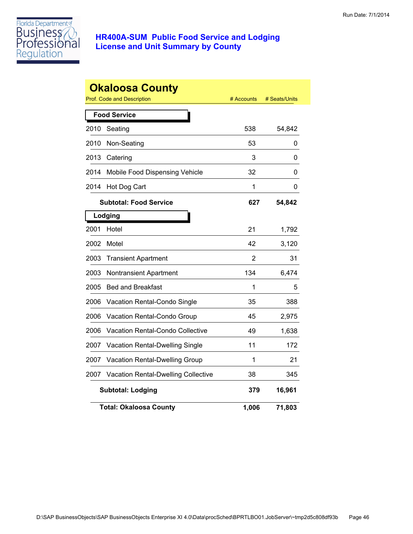

|      | <b>Okaloosa County</b><br><b>Prof. Code and Description</b> | # Accounts | # Seats/Units |
|------|-------------------------------------------------------------|------------|---------------|
|      | <b>Food Service</b>                                         |            |               |
| 2010 | Seating                                                     | 538        | 54,842        |
| 2010 | Non-Seating                                                 | 53         | 0             |
| 2013 | Catering                                                    | 3          | 0             |
| 2014 | Mobile Food Dispensing Vehicle                              | 32         | 0             |
| 2014 | Hot Dog Cart                                                | 1          | 0             |
|      | <b>Subtotal: Food Service</b>                               | 627        | 54,842        |
|      | Lodging                                                     |            |               |
| 2001 | Hotel                                                       | 21         | 1,792         |
| 2002 | Motel                                                       | 42         | 3,120         |
| 2003 | <b>Transient Apartment</b>                                  | 2          | 31            |
| 2003 | Nontransient Apartment                                      | 134        | 6,474         |
| 2005 | <b>Bed and Breakfast</b>                                    | 1          | 5             |
| 2006 | Vacation Rental-Condo Single                                | 35         | 388           |
| 2006 | Vacation Rental-Condo Group                                 | 45         | 2,975         |
| 2006 | <b>Vacation Rental-Condo Collective</b>                     | 49         | 1,638         |
| 2007 | <b>Vacation Rental-Dwelling Single</b>                      | 11         | 172           |
| 2007 | Vacation Rental-Dwelling Group                              | 1          | 21            |
| 2007 | <b>Vacation Rental-Dwelling Collective</b>                  | 38         | 345           |
|      | <b>Subtotal: Lodging</b>                                    | 379        | 16,961        |
|      | <b>Total: Okaloosa County</b>                               | 1,006      | 71,803        |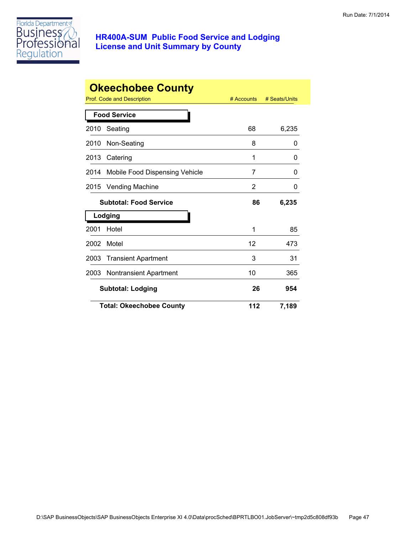

| <b>Okeechobee County</b> |                                       |            |               |  |
|--------------------------|---------------------------------------|------------|---------------|--|
|                          | Prof. Code and Description            | # Accounts | # Seats/Units |  |
|                          | <b>Food Service</b>                   |            |               |  |
| 2010                     | Seating                               | 68         | 6,235         |  |
| 2010                     | Non-Seating                           | 8          | 0             |  |
| 2013                     | Catering                              | 1          | 0             |  |
| 2014                     | Mobile Food Dispensing Vehicle        | 7          | 0             |  |
| 2015                     | <b>Vending Machine</b>                | 2          | 0             |  |
|                          | <b>Subtotal: Food Service</b>         | 86         | 6,235         |  |
|                          | Lodging                               |            |               |  |
| 2001                     | Hotel                                 | 1          | 85            |  |
| 2002                     | Motel                                 | 12         | 473           |  |
| 2003                     | <b>Transient Apartment</b>            | 3          | 31            |  |
| 2003                     | <b>Nontransient Apartment</b>         | 10         | 365           |  |
|                          | 26<br><b>Subtotal: Lodging</b><br>954 |            |               |  |
|                          | <b>Total: Okeechobee County</b>       | 112        | 7,189         |  |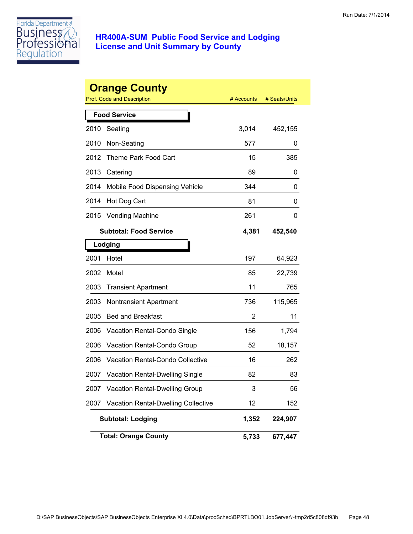

|      | <b>Orange County</b>                       |            |               |
|------|--------------------------------------------|------------|---------------|
|      | Prof. Code and Description                 | # Accounts | # Seats/Units |
|      | <b>Food Service</b>                        |            |               |
| 2010 | Seating                                    | 3,014      | 452,155       |
| 2010 | Non-Seating                                | 577        | 0             |
| 2012 | Theme Park Food Cart                       | 15         | 385           |
| 2013 | Catering                                   | 89         | 0             |
| 2014 | Mobile Food Dispensing Vehicle             | 344        | 0             |
| 2014 | Hot Dog Cart                               | 81         | 0             |
| 2015 | Vending Machine                            | 261        | 0             |
|      | <b>Subtotal: Food Service</b>              | 4,381      | 452,540       |
|      | Lodging                                    |            |               |
| 2001 | Hotel                                      | 197        | 64,923        |
| 2002 | Motel                                      | 85         | 22,739        |
| 2003 | <b>Transient Apartment</b>                 | 11         | 765           |
| 2003 | <b>Nontransient Apartment</b>              | 736        | 115,965       |
| 2005 | <b>Bed and Breakfast</b>                   | 2          | 11            |
| 2006 | Vacation Rental-Condo Single               | 156        | 1,794         |
| 2006 | Vacation Rental-Condo Group                | 52         | 18,157        |
| 2006 | Vacation Rental-Condo Collective           | 16         | 262           |
| 2007 | <b>Vacation Rental-Dwelling Single</b>     | 82         | 83            |
| 2007 | Vacation Rental-Dwelling Group             | 3          | 56            |
| 2007 | <b>Vacation Rental-Dwelling Collective</b> | 12         | 152           |
|      | <b>Subtotal: Lodging</b>                   | 1,352      | 224,907       |
|      | <b>Total: Orange County</b>                | 5,733      | 677,447       |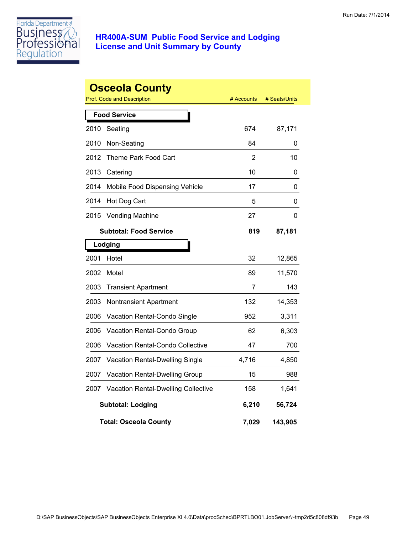

|      | <b>Osceola County</b><br><b>Prof. Code and Description</b> | # Accounts | # Seats/Units |
|------|------------------------------------------------------------|------------|---------------|
|      | <b>Food Service</b>                                        |            |               |
| 2010 | Seating                                                    | 674        | 87,171        |
| 2010 | Non-Seating                                                | 84         | 0             |
| 2012 | Theme Park Food Cart                                       | 2          | 10            |
| 2013 | Catering                                                   | 10         | 0             |
| 2014 | Mobile Food Dispensing Vehicle                             | 17         | 0             |
| 2014 | Hot Dog Cart                                               | 5          | 0             |
| 2015 | <b>Vending Machine</b>                                     | 27         | 0             |
|      | <b>Subtotal: Food Service</b>                              | 819        | 87,181        |
|      | Lodging                                                    |            |               |
| 2001 | Hotel                                                      | 32         | 12,865        |
| 2002 | Motel                                                      | 89         | 11,570        |
| 2003 | <b>Transient Apartment</b>                                 | 7          | 143           |
| 2003 | Nontransient Apartment                                     | 132        | 14,353        |
| 2006 | Vacation Rental-Condo Single                               | 952        | 3,311         |
| 2006 | Vacation Rental-Condo Group                                | 62         | 6,303         |
| 2006 | Vacation Rental-Condo Collective                           | 47         | 700           |
| 2007 | <b>Vacation Rental-Dwelling Single</b>                     | 4,716      | 4,850         |
| 2007 | Vacation Rental-Dwelling Group                             | 15         | 988           |
| 2007 | Vacation Rental-Dwelling Collective                        | 158        | 1,641         |
|      | <b>Subtotal: Lodging</b>                                   | 6,210      | 56,724        |
|      | <b>Total: Osceola County</b>                               | 7,029      | 143,905       |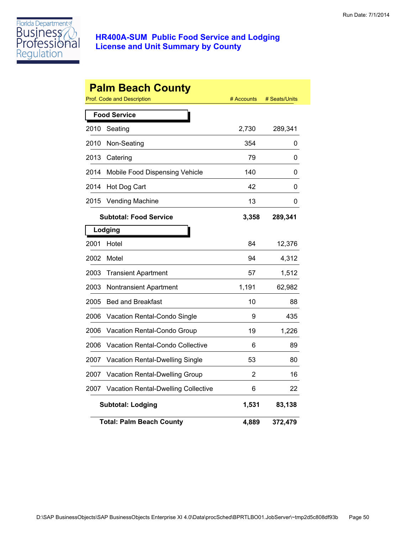

|                     | <b>Palm Beach County</b><br>Prof. Code and Description | # Accounts | # Seats/Units |  |
|---------------------|--------------------------------------------------------|------------|---------------|--|
| <b>Food Service</b> |                                                        |            |               |  |
| 2010                | Seating                                                | 2,730      | 289,341       |  |
| 2010                | Non-Seating                                            | 354        | 0             |  |
| 2013                | Catering                                               | 79         | 0             |  |
| 2014                | Mobile Food Dispensing Vehicle                         | 140        | 0             |  |
| 2014                | Hot Dog Cart                                           | 42         | 0             |  |
| 2015                | <b>Vending Machine</b>                                 | 13         | 0             |  |
|                     | <b>Subtotal: Food Service</b>                          | 3,358      | 289,341       |  |
|                     | Lodging                                                |            |               |  |
| 2001                | Hotel                                                  | 84         | 12,376        |  |
| 2002                | Motel                                                  | 94         | 4,312         |  |
| 2003                | <b>Transient Apartment</b>                             | 57         | 1,512         |  |
| 2003                | Nontransient Apartment                                 | 1,191      | 62,982        |  |
| 2005                | <b>Bed and Breakfast</b>                               | 10         | 88            |  |
| 2006                | Vacation Rental-Condo Single                           | 9          | 435           |  |
| 2006                | <b>Vacation Rental-Condo Group</b>                     | 19         | 1,226         |  |
| 2006                | Vacation Rental-Condo Collective                       | 6          | 89            |  |
| 2007                | Vacation Rental-Dwelling Single                        | 53         | 80            |  |
| 2007                | Vacation Rental-Dwelling Group                         | 2          | 16            |  |
| 2007                | Vacation Rental-Dwelling Collective                    | 6          | 22            |  |
|                     | <b>Subtotal: Lodging</b>                               | 1,531      | 83,138        |  |
|                     | <b>Total: Palm Beach County</b>                        | 4,889      | 372,479       |  |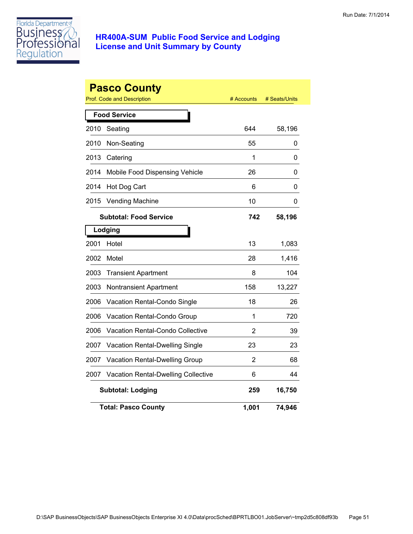

|      | <b>Pasco County</b><br>Prof. Code and Description | # Accounts     | # Seats/Units |
|------|---------------------------------------------------|----------------|---------------|
|      | <b>Food Service</b>                               |                |               |
| 2010 | Seating                                           | 644            | 58,196        |
| 2010 | Non-Seating                                       | 55             | 0             |
| 2013 | Catering                                          | 1              | 0             |
| 2014 | Mobile Food Dispensing Vehicle                    | 26             | 0             |
| 2014 | Hot Dog Cart                                      | 6              | 0             |
| 2015 | <b>Vending Machine</b>                            | 10             | 0             |
|      | <b>Subtotal: Food Service</b>                     | 742            | 58,196        |
|      | Lodging                                           |                |               |
| 2001 | Hotel                                             | 13             | 1,083         |
| 2002 | Motel                                             | 28             | 1,416         |
| 2003 | <b>Transient Apartment</b>                        | 8              | 104           |
| 2003 | Nontransient Apartment                            | 158            | 13,227        |
| 2006 | Vacation Rental-Condo Single                      | 18             | 26            |
| 2006 | Vacation Rental-Condo Group                       | 1              | 720           |
| 2006 | <b>Vacation Rental-Condo Collective</b>           | $\overline{2}$ | 39            |
| 2007 | Vacation Rental-Dwelling Single                   | 23             | 23            |
| 2007 | Vacation Rental-Dwelling Group                    | $\overline{2}$ | 68            |
| 2007 | <b>Vacation Rental-Dwelling Collective</b>        | 6              | 44            |
|      | <b>Subtotal: Lodging</b>                          | 259            | 16,750        |
|      | <b>Total: Pasco County</b>                        | 1,001          | 74,946        |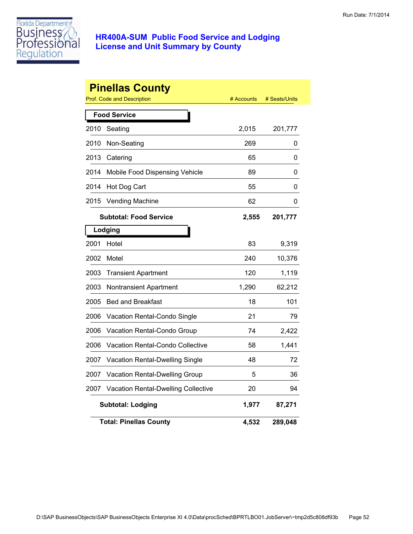

|      | <b>Pinellas County</b><br>Prof. Code and Description | # Accounts | # Seats/Units |
|------|------------------------------------------------------|------------|---------------|
|      | <b>Food Service</b>                                  |            |               |
| 2010 | Seating                                              | 2,015      | 201,777       |
| 2010 | Non-Seating                                          | 269        | 0             |
| 2013 | Catering                                             | 65         | 0             |
| 2014 | Mobile Food Dispensing Vehicle                       | 89         | 0             |
| 2014 | Hot Dog Cart                                         | 55         | 0             |
| 2015 | <b>Vending Machine</b>                               | 62         | 0             |
|      | <b>Subtotal: Food Service</b>                        | 2,555      | 201,777       |
|      | Lodging                                              |            |               |
| 2001 | Hotel                                                | 83         | 9,319         |
| 2002 | Motel                                                | 240        | 10,376        |
| 2003 | <b>Transient Apartment</b>                           | 120        | 1,119         |
| 2003 | Nontransient Apartment                               | 1,290      | 62,212        |
| 2005 | <b>Bed and Breakfast</b>                             | 18         | 101           |
| 2006 | Vacation Rental-Condo Single                         | 21         | 79            |
| 2006 | Vacation Rental-Condo Group                          | 74         | 2,422         |
| 2006 | Vacation Rental-Condo Collective                     | 58         | 1,441         |
| 2007 | Vacation Rental-Dwelling Single                      | 48         | 72            |
| 2007 | Vacation Rental-Dwelling Group                       | 5          | 36            |
| 2007 | Vacation Rental-Dwelling Collective                  | 20         | 94            |
|      | <b>Subtotal: Lodging</b>                             | 1,977      | 87,271        |
|      | <b>Total: Pinellas County</b>                        | 4,532      | 289,048       |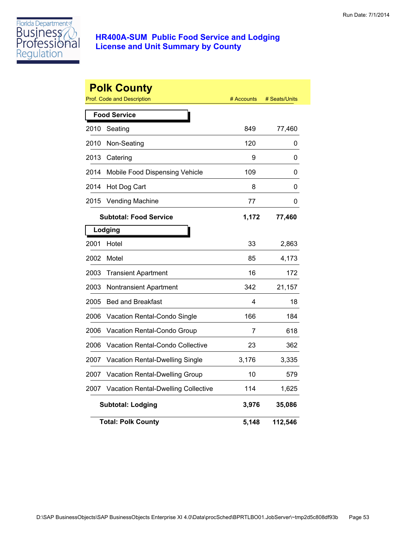

|      | <b>Polk County</b><br>Prof. Code and Description | # Accounts | # Seats/Units |
|------|--------------------------------------------------|------------|---------------|
|      | <b>Food Service</b>                              |            |               |
| 2010 | Seating                                          | 849        | 77,460        |
| 2010 | Non-Seating                                      | 120        | 0             |
| 2013 | Catering                                         | 9          | 0             |
| 2014 | Mobile Food Dispensing Vehicle                   | 109        | 0             |
| 2014 | Hot Dog Cart                                     | 8          | 0             |
| 2015 | <b>Vending Machine</b>                           | 77         | 0             |
|      | <b>Subtotal: Food Service</b>                    | 1,172      | 77,460        |
|      | Lodging                                          |            |               |
| 2001 | Hotel                                            | 33         | 2,863         |
| 2002 | Motel                                            | 85         | 4,173         |
| 2003 | <b>Transient Apartment</b>                       | 16         | 172           |
| 2003 | <b>Nontransient Apartment</b>                    | 342        | 21,157        |
| 2005 | <b>Bed and Breakfast</b>                         | 4          | 18            |
| 2006 | Vacation Rental-Condo Single                     | 166        | 184           |
| 2006 | Vacation Rental-Condo Group                      | 7          | 618           |
| 2006 | <b>Vacation Rental-Condo Collective</b>          | 23         | 362           |
| 2007 | Vacation Rental-Dwelling Single                  | 3,176      | 3,335         |
| 2007 | Vacation Rental-Dwelling Group                   | 10         | 579           |
| 2007 | <b>Vacation Rental-Dwelling Collective</b>       | 114        | 1,625         |
|      | <b>Subtotal: Lodging</b>                         | 3,976      | 35,086        |
|      | <b>Total: Polk County</b>                        | 5,148      | 112,546       |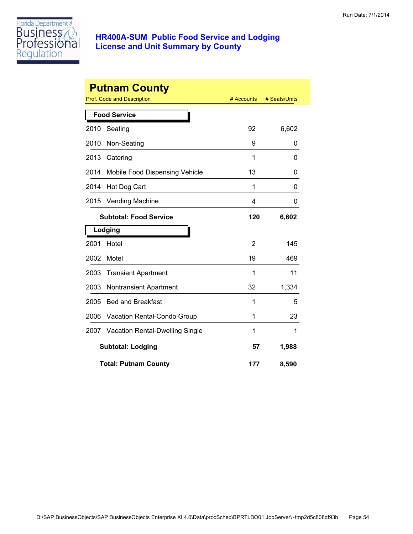

|      | <b>Putnam County</b>            |            |               |
|------|---------------------------------|------------|---------------|
|      | Prof. Code and Description      | # Accounts | # Seats/Units |
|      | <b>Food Service</b>             |            |               |
| 2010 | Seating                         | 92         | 6,602         |
| 2010 | Non-Seating                     | 9          | 0             |
| 2013 | Catering                        | 1          | 0             |
| 2014 | Mobile Food Dispensing Vehicle  | 13         | 0             |
| 2014 | Hot Dog Cart                    | 1          | 0             |
| 2015 | <b>Vending Machine</b>          | 4          | 0             |
|      | <b>Subtotal: Food Service</b>   | 120        | 6,602         |
|      | Lodging                         |            |               |
| 2001 | Hotel                           | 2          | 145           |
| 2002 | Motel                           | 19         | 469           |
| 2003 | <b>Transient Apartment</b>      | 1          | 11            |
| 2003 | <b>Nontransient Apartment</b>   | 32         | 1,334         |
| 2005 | <b>Bed and Breakfast</b>        | 1          | 5             |
| 2006 | Vacation Rental-Condo Group     | 1          | 23            |
| 2007 | Vacation Rental-Dwelling Single | 1          | 1             |
|      | <b>Subtotal: Lodging</b>        | 57         | 1,988         |
|      | <b>Total: Putnam County</b>     | 177        | 8,590         |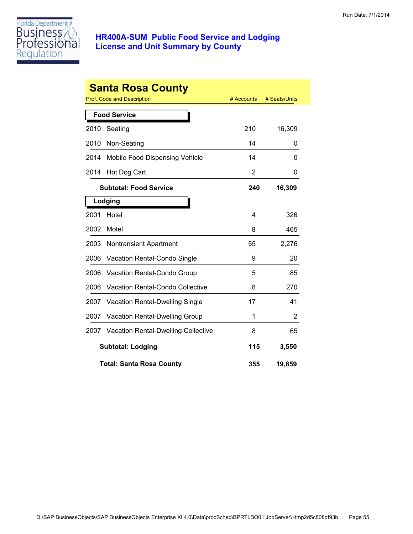

| <b>Santa Rosa County</b> |                                         |                |               |  |
|--------------------------|-----------------------------------------|----------------|---------------|--|
|                          | Prof. Code and Description              | # Accounts     | # Seats/Units |  |
|                          | <b>Food Service</b>                     |                |               |  |
| 2010                     | Seating                                 | 210            | 16,309        |  |
| 2010                     | Non-Seating                             | 14             | 0             |  |
| 2014                     | Mobile Food Dispensing Vehicle          | 14             | 0             |  |
| 2014                     | Hot Dog Cart                            | $\overline{2}$ | 0             |  |
|                          | <b>Subtotal: Food Service</b>           | 240            | 16,309        |  |
|                          | Lodging                                 |                |               |  |
| 2001                     | Hotel                                   | 4              | 326           |  |
| 2002                     | Motel                                   | 8              | 465           |  |
| 2003                     | <b>Nontransient Apartment</b>           | 55             | 2,276         |  |
| 2006                     | Vacation Rental-Condo Single            | 9              | 20            |  |
| 2006                     | Vacation Rental-Condo Group             | 5              | 85            |  |
| 2006                     | <b>Vacation Rental-Condo Collective</b> | 8              | 270           |  |
| 2007                     | Vacation Rental-Dwelling Single         | 17             | 41            |  |
| 2007                     | <b>Vacation Rental-Dwelling Group</b>   | 1              | 2             |  |
| 2007                     | Vacation Rental-Dwelling Collective     | 8              | 65            |  |
|                          | <b>Subtotal: Lodging</b>                | 115            | 3,550         |  |
|                          | <b>Total: Santa Rosa County</b>         | 355            | 19,859        |  |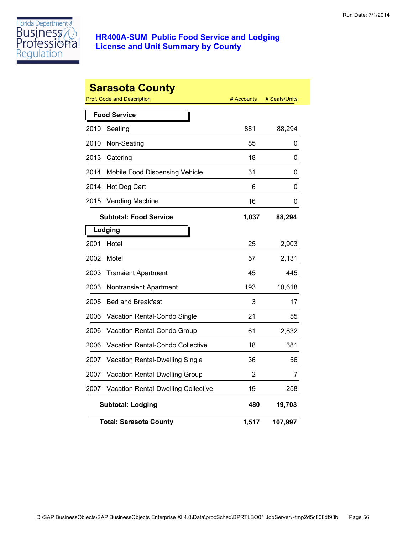

|      | <b>Sarasota County</b><br>Prof. Code and Description | # Accounts | # Seats/Units |
|------|------------------------------------------------------|------------|---------------|
|      | <b>Food Service</b>                                  |            |               |
| 2010 | Seating                                              | 881        | 88,294        |
| 2010 | Non-Seating                                          | 85         | 0             |
| 2013 | Catering                                             | 18         | 0             |
| 2014 | Mobile Food Dispensing Vehicle                       | 31         | 0             |
| 2014 | Hot Dog Cart                                         | 6          | 0             |
| 2015 | <b>Vending Machine</b>                               | 16         | 0             |
|      | <b>Subtotal: Food Service</b>                        | 1,037      | 88,294        |
|      | Lodging                                              |            |               |
| 2001 | Hotel                                                | 25         | 2,903         |
| 2002 | Motel                                                | 57         | 2,131         |
| 2003 | <b>Transient Apartment</b>                           | 45         | 445           |
| 2003 | <b>Nontransient Apartment</b>                        | 193        | 10,618        |
| 2005 | <b>Bed and Breakfast</b>                             | 3          | 17            |
| 2006 | Vacation Rental-Condo Single                         | 21         | 55            |
| 2006 | Vacation Rental-Condo Group                          | 61         | 2,832         |
| 2006 | Vacation Rental-Condo Collective                     | 18         | 381           |
| 2007 | Vacation Rental-Dwelling Single                      | 36         | 56            |
| 2007 | Vacation Rental-Dwelling Group                       | 2          | 7             |
| 2007 | <b>Vacation Rental-Dwelling Collective</b>           | 19         | 258           |
|      | <b>Subtotal: Lodging</b>                             | 480        | 19,703        |
|      | <b>Total: Sarasota County</b>                        | 1,517      | 107,997       |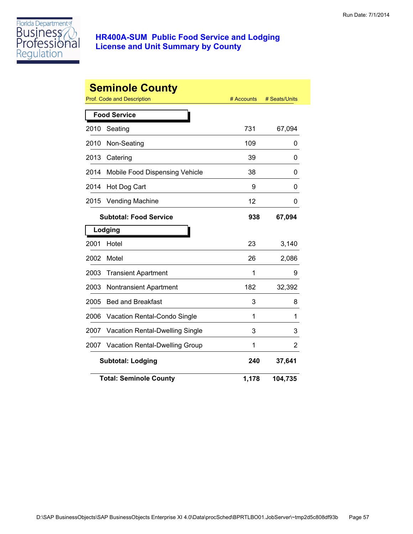

|      | <b>Seminole County</b>          |            |               |
|------|---------------------------------|------------|---------------|
|      | Prof. Code and Description      | # Accounts | # Seats/Units |
|      | <b>Food Service</b>             |            |               |
| 2010 | Seating                         | 731        | 67,094        |
| 2010 | Non-Seating                     | 109        | 0             |
| 2013 | Catering                        | 39         | 0             |
| 2014 | Mobile Food Dispensing Vehicle  | 38         | 0             |
| 2014 | Hot Dog Cart                    | 9          | 0             |
| 2015 | <b>Vending Machine</b>          | 12         | 0             |
|      | <b>Subtotal: Food Service</b>   | 938        | 67,094        |
|      | Lodging                         |            |               |
| 2001 | Hotel                           | 23         | 3,140         |
| 2002 | Motel                           | 26         | 2,086         |
| 2003 | <b>Transient Apartment</b>      | 1          | 9             |
| 2003 | Nontransient Apartment          | 182        | 32,392        |
| 2005 | <b>Bed and Breakfast</b>        | 3          | 8             |
| 2006 | Vacation Rental-Condo Single    | 1          | 1             |
| 2007 | Vacation Rental-Dwelling Single | 3          | 3             |
| 2007 | Vacation Rental-Dwelling Group  | 1          | 2             |
|      | <b>Subtotal: Lodging</b>        | 240        | 37,641        |
|      | <b>Total: Seminole County</b>   | 1,178      | 104,735       |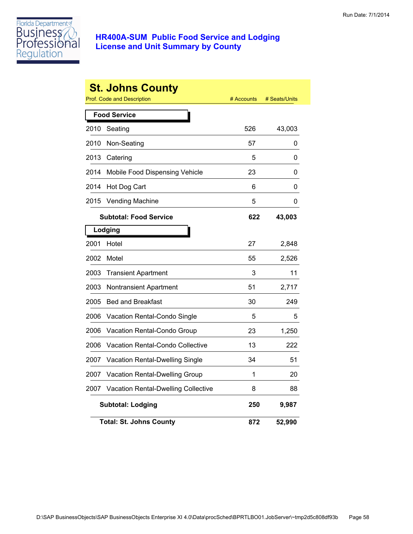

|      | <b>St. Johns County</b>             |            |               |
|------|-------------------------------------|------------|---------------|
|      | Prof. Code and Description          | # Accounts | # Seats/Units |
|      | <b>Food Service</b>                 |            |               |
| 2010 | Seating                             | 526        | 43,003        |
| 2010 | Non-Seating                         | 57         | 0             |
| 2013 | Catering                            | 5          | 0             |
| 2014 | Mobile Food Dispensing Vehicle      | 23         | 0             |
| 2014 | Hot Dog Cart                        | 6          | 0             |
| 2015 | <b>Vending Machine</b>              | 5          | 0             |
|      | <b>Subtotal: Food Service</b>       | 622        | 43,003        |
|      | Lodging                             |            |               |
| 2001 | Hotel                               | 27         | 2,848         |
| 2002 | Motel                               | 55         | 2,526         |
| 2003 | <b>Transient Apartment</b>          | 3          | 11            |
| 2003 | Nontransient Apartment              | 51         | 2,717         |
| 2005 | <b>Bed and Breakfast</b>            | 30         | 249           |
| 2006 | Vacation Rental-Condo Single        | 5          | 5             |
| 2006 | Vacation Rental-Condo Group         | 23         | 1,250         |
| 2006 | Vacation Rental-Condo Collective    | 13         | 222           |
| 2007 | Vacation Rental-Dwelling Single     | 34         | 51            |
| 2007 | Vacation Rental-Dwelling Group      | 1          | 20            |
| 2007 | Vacation Rental-Dwelling Collective | 8          | 88            |
|      | <b>Subtotal: Lodging</b>            | 250        | 9,987         |
|      | <b>Total: St. Johns County</b>      | 872        | 52,990        |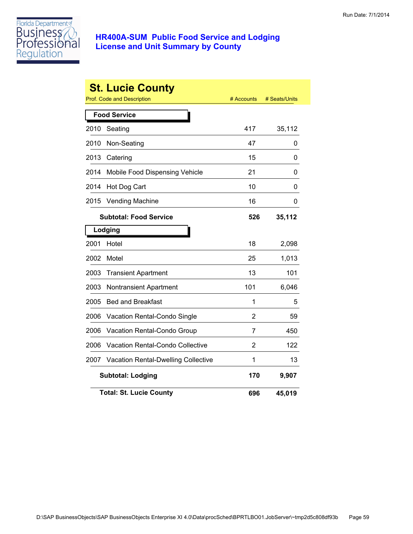

|      | <b>St. Lucie County</b><br><b>Prof. Code and Description</b> | # Accounts | # Seats/Units |
|------|--------------------------------------------------------------|------------|---------------|
|      |                                                              |            |               |
|      | <b>Food Service</b>                                          |            |               |
| 2010 | Seating                                                      | 417        | 35,112        |
| 2010 | Non-Seating                                                  | 47         | 0             |
| 2013 | Catering                                                     | 15         | 0             |
| 2014 | Mobile Food Dispensing Vehicle                               | 21         | 0             |
| 2014 | Hot Dog Cart                                                 | 10         | 0             |
| 2015 | <b>Vending Machine</b>                                       | 16         | 0             |
|      | <b>Subtotal: Food Service</b>                                | 526        | 35,112        |
|      | Lodging                                                      |            |               |
| 2001 | Hotel                                                        | 18         | 2,098         |
| 2002 | Motel                                                        | 25         | 1,013         |
| 2003 | <b>Transient Apartment</b>                                   | 13         | 101           |
| 2003 | Nontransient Apartment                                       | 101        | 6,046         |
| 2005 | <b>Bed and Breakfast</b>                                     | 1          | 5             |
| 2006 | Vacation Rental-Condo Single                                 | 2          | 59            |
| 2006 | Vacation Rental-Condo Group                                  | 7          | 450           |
| 2006 | Vacation Rental-Condo Collective                             | 2          | 122           |
| 2007 | <b>Vacation Rental-Dwelling Collective</b>                   | 1          | 13            |
|      | <b>Subtotal: Lodging</b>                                     | 170        | 9,907         |
|      | <b>Total: St. Lucie County</b>                               | 696        | 45,019        |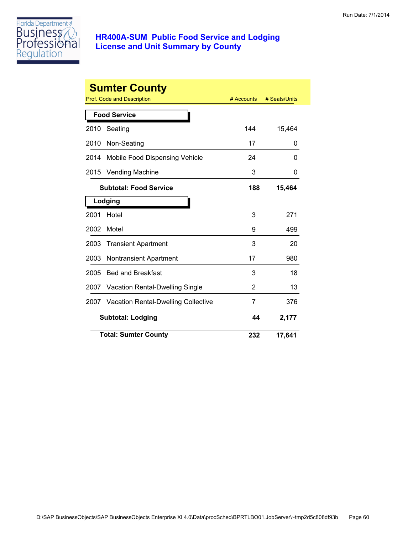

|                          | <b>Sumter County</b><br>Prof. Code and Description | # Accounts | # Seats/Units |
|--------------------------|----------------------------------------------------|------------|---------------|
|                          | <b>Food Service</b>                                |            |               |
| 2010                     | Seating                                            | 144        | 15,464        |
| 2010                     | Non-Seating                                        | 17         | 0             |
| 2014                     | Mobile Food Dispensing Vehicle                     | 24         | 0             |
| 2015                     | <b>Vending Machine</b>                             | 3          | 0             |
|                          | <b>Subtotal: Food Service</b>                      | 188        | 15,464        |
|                          | Lodging                                            |            |               |
| 2001                     | Hotel                                              | 3          | 271           |
| 2002                     | Motel                                              | 9          | 499           |
| 2003                     | <b>Transient Apartment</b>                         | 3          | 20            |
| 2003                     | <b>Nontransient Apartment</b>                      | 17         | 980           |
| 2005                     | <b>Bed and Breakfast</b>                           | 3          | 18            |
| 2007                     | <b>Vacation Rental-Dwelling Single</b>             | 2          | 13            |
| 2007                     | <b>Vacation Rental-Dwelling Collective</b>         | 7          | 376           |
| <b>Subtotal: Lodging</b> |                                                    | 44         | 2,177         |
|                          | <b>Total: Sumter County</b>                        | 232        | 17,641        |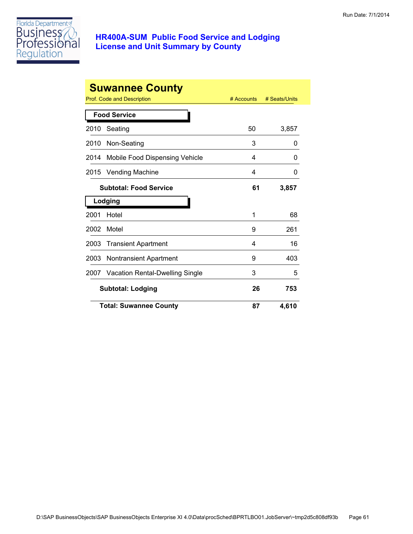

|      | <b>Suwannee County</b>               |            |               |
|------|--------------------------------------|------------|---------------|
|      | Prof. Code and Description           | # Accounts | # Seats/Units |
|      | <b>Food Service</b>                  |            |               |
| 2010 | Seating                              | 50         | 3,857         |
| 2010 | Non-Seating                          | 3          | 0             |
| 2014 | Mobile Food Dispensing Vehicle       | 4          | 0             |
| 2015 | <b>Vending Machine</b>               | 4          | 0             |
|      | <b>Subtotal: Food Service</b>        | 61         | 3,857         |
|      | Lodging                              |            |               |
| 2001 | Hotel                                | 1          | 68            |
| 2002 | Motel                                | 9          | 261           |
| 2003 | <b>Transient Apartment</b>           | 4          | 16            |
| 2003 | Nontransient Apartment               | 9          | 403           |
|      | 2007 Vacation Rental-Dwelling Single | 3          | 5             |
|      | <b>Subtotal: Lodging</b>             | 26         | 753           |
|      | <b>Total: Suwannee County</b>        | 87         | 4,610         |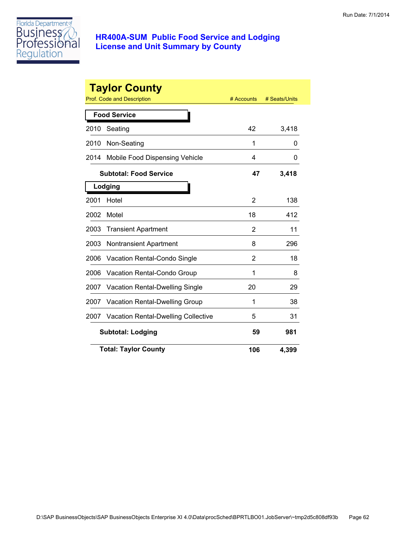

|      | <b>Taylor County</b><br>Prof. Code and Description | # Accounts | # Seats/Units |
|------|----------------------------------------------------|------------|---------------|
|      | <b>Food Service</b>                                |            |               |
| 2010 | Seating                                            | 42         | 3,418         |
| 2010 | Non-Seating                                        | 1          | 0             |
| 2014 | Mobile Food Dispensing Vehicle                     | 4          | 0             |
|      | <b>Subtotal: Food Service</b>                      | 47         | 3,418         |
|      | Lodging                                            |            |               |
| 2001 | Hotel                                              | 2          | 138           |
| 2002 | Motel                                              | 18         | 412           |
| 2003 | <b>Transient Apartment</b>                         | 2          | 11            |
| 2003 | <b>Nontransient Apartment</b>                      | 8          | 296           |
| 2006 | Vacation Rental-Condo Single                       | 2          | 18            |
| 2006 | Vacation Rental-Condo Group                        | 1          | 8             |
| 2007 | <b>Vacation Rental-Dwelling Single</b>             | 20         | 29            |
| 2007 | <b>Vacation Rental-Dwelling Group</b>              | 1          | 38            |
| 2007 | <b>Vacation Rental-Dwelling Collective</b>         | 5          | 31            |
|      | <b>Subtotal: Lodging</b>                           | 59         | 981           |
|      | <b>Total: Taylor County</b>                        | 106        | 4,399         |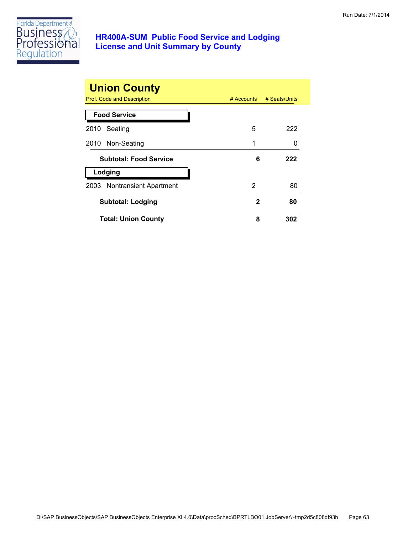

| <b>Union County</b>           |              |               |
|-------------------------------|--------------|---------------|
| Prof. Code and Description    | $#$ Accounts | # Seats/Units |
| <b>Food Service</b>           |              |               |
| 2010<br>Seating               | 5            | 222           |
| Non-Seating<br>2010           | 1            |               |
| <b>Subtotal: Food Service</b> | 6            | 222           |
| Lodging                       |              |               |
| 2003 Nontransient Apartment   | 2            | 80            |
| <b>Subtotal: Lodging</b>      | 2            | 80            |
| <b>Total: Union County</b>    | 8            | 302           |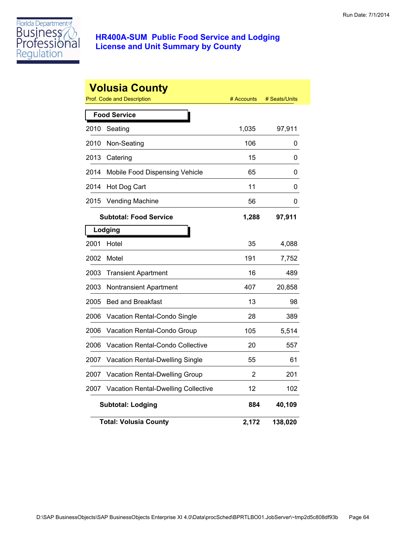

|      | <b>Volusia County</b><br><b>Prof. Code and Description</b> | # Accounts | # Seats/Units |
|------|------------------------------------------------------------|------------|---------------|
|      | <b>Food Service</b>                                        |            |               |
| 2010 | Seating                                                    | 1,035      | 97,911        |
| 2010 | Non-Seating                                                | 106        | 0             |
| 2013 | Catering                                                   | 15         | 0             |
| 2014 | Mobile Food Dispensing Vehicle                             | 65         | 0             |
| 2014 | Hot Dog Cart                                               | 11         | 0             |
| 2015 | <b>Vending Machine</b>                                     | 56         | 0             |
|      | <b>Subtotal: Food Service</b>                              | 1,288      | 97,911        |
|      | Lodging                                                    |            |               |
| 2001 | Hotel                                                      | 35         | 4,088         |
| 2002 | Motel                                                      | 191        | 7,752         |
| 2003 | <b>Transient Apartment</b>                                 | 16         | 489           |
| 2003 | <b>Nontransient Apartment</b>                              | 407        | 20,858        |
| 2005 | <b>Bed and Breakfast</b>                                   | 13         | 98            |
| 2006 | Vacation Rental-Condo Single                               | 28         | 389           |
| 2006 | Vacation Rental-Condo Group                                | 105        | 5,514         |
| 2006 | Vacation Rental-Condo Collective                           | 20         | 557           |
| 2007 | Vacation Rental-Dwelling Single                            | 55         | 61            |
| 2007 | Vacation Rental-Dwelling Group                             | 2          | 201           |
| 2007 | <b>Vacation Rental-Dwelling Collective</b>                 | 12         | 102           |
|      | <b>Subtotal: Lodging</b>                                   | 884        | 40,109        |
|      | <b>Total: Volusia County</b>                               | 2,172      | 138,020       |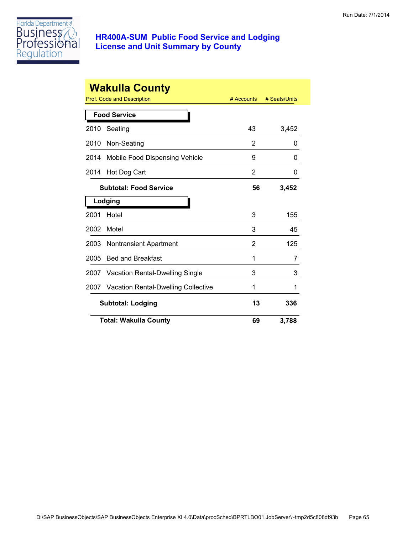

|      | <b>Wakulla County</b>                      |            |               |
|------|--------------------------------------------|------------|---------------|
|      | <b>Prof. Code and Description</b>          | # Accounts | # Seats/Units |
|      | <b>Food Service</b>                        |            |               |
| 2010 | Seating                                    | 43         | 3,452         |
| 2010 | Non-Seating                                | 2          | 0             |
| 2014 | Mobile Food Dispensing Vehicle             | 9          | 0             |
| 2014 | Hot Dog Cart                               | 2          | 0             |
|      | <b>Subtotal: Food Service</b>              | 56         | 3,452         |
|      | Lodging                                    |            |               |
| 2001 | Hotel                                      | 3          | 155           |
| 2002 | Motel                                      | 3          | 45            |
| 2003 | <b>Nontransient Apartment</b>              | 2          | 125           |
| 2005 | <b>Bed and Breakfast</b>                   | 1          | 7             |
| 2007 | <b>Vacation Rental-Dwelling Single</b>     | 3          | 3             |
| 2007 | <b>Vacation Rental-Dwelling Collective</b> | 1          | 1             |
|      | <b>Subtotal: Lodging</b>                   | 13         | 336           |
|      | <b>Total: Wakulla County</b>               | 69         | 3,788         |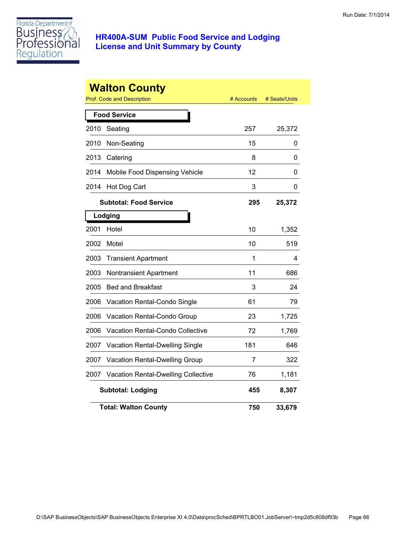

|      | <b>Walton County</b><br><b>Prof. Code and Description</b> | # Accounts | # Seats/Units |
|------|-----------------------------------------------------------|------------|---------------|
|      | <b>Food Service</b>                                       |            |               |
| 2010 | Seating                                                   | 257        | 25,372        |
| 2010 | Non-Seating                                               | 15         | 0             |
| 2013 | Catering                                                  | 8          | 0             |
| 2014 | Mobile Food Dispensing Vehicle                            | 12         | 0             |
| 2014 | Hot Dog Cart                                              | 3          | 0             |
|      | <b>Subtotal: Food Service</b>                             | 295        | 25,372        |
|      | Lodging                                                   |            |               |
| 2001 | Hotel                                                     | 10         | 1,352         |
| 2002 | Motel                                                     | 10         | 519           |
| 2003 | <b>Transient Apartment</b>                                | 1          | 4             |
| 2003 | <b>Nontransient Apartment</b>                             | 11         | 686           |
| 2005 | <b>Bed and Breakfast</b>                                  | 3          | 24            |
| 2006 | Vacation Rental-Condo Single                              | 61         | 79            |
| 2006 | Vacation Rental-Condo Group                               | 23         | 1,725         |
| 2006 | Vacation Rental-Condo Collective                          | 72         | 1,769         |
| 2007 | <b>Vacation Rental-Dwelling Single</b>                    | 181        | 646           |
| 2007 | Vacation Rental-Dwelling Group                            | 7          | 322           |
| 2007 | <b>Vacation Rental-Dwelling Collective</b>                | 76         | 1,181         |
|      | <b>Subtotal: Lodging</b>                                  | 455        | 8,307         |
|      | <b>Total: Walton County</b>                               | 750        | 33,679        |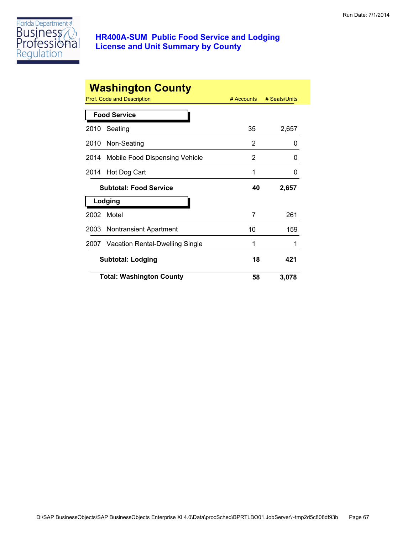

|      | <b>Washington County</b>             |            |               |
|------|--------------------------------------|------------|---------------|
|      | <b>Prof. Code and Description</b>    | # Accounts | # Seats/Units |
|      | <b>Food Service</b>                  |            |               |
| 2010 | Seating                              | 35         | 2,657         |
| 2010 | Non-Seating                          | 2          | 0             |
| 2014 | Mobile Food Dispensing Vehicle       | 2          | O             |
| 2014 | Hot Dog Cart                         | 1          | 0             |
|      | <b>Subtotal: Food Service</b>        | 40         | 2,657         |
|      | Lodging                              |            |               |
| 2002 | Motel                                | 7          | 261           |
| 2003 | Nontransient Apartment               | 10         | 159           |
|      | 2007 Vacation Rental-Dwelling Single | 1          |               |
|      | <b>Subtotal: Lodging</b>             | 18         | 421           |
|      | <b>Total: Washington County</b>      | 58         | 3,078         |